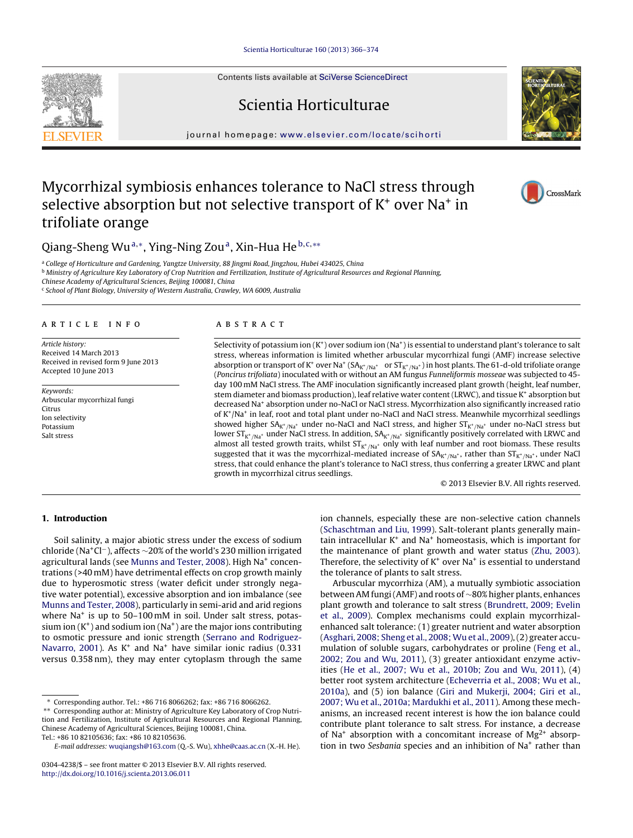Contents lists available at SciVerse [ScienceDirect](http://www.sciencedirect.com/science/journal/03044238)

# Scientia Horticulturae

journal homepage: [www.elsevier.com/locate/scihorti](http://www.elsevier.com/locate/scihorti)

# Mycorrhizal symbiosis enhances tolerance to NaCl stress through selective absorption but not selective transport of  $K^+$  over Na<sup>+</sup> in trifoliate orange

Qiang-Sheng Wu<sup>a,\*</sup>, Ying-Ning Zou<sup>a</sup>, Xin-Hua He<sup>b,c,\*\*</sup>

a College of Horticulture and Gardening, Yangtze University, 88 Jingmi Road, Jingzhou, Hubei 434025, China

**b** Ministry of Agriculture Key Laboratory of Crop Nutrition and Fertilization, Institute of Agricultural Resources and Regional Planning,

Chinese Academy of Agricultural Sciences, Beijing 100081, China

<sup>c</sup> School of Plant Biology, University of Western Australia, Crawley, WA 6009, Australia

# a r t i c l e i n f o

Article history: Received 14 March 2013 Received in revised form 9 June 2013 Accepted 10 June 2013

Keywords: Arbuscular mycorrhizal fungi Citrus Ion selectivity Potassium Salt stress

## A B S T R A C T

Selectivity of potassium ion  $(K^+)$  over sodium ion  $(Na^+)$  is essential to understand plant's tolerance to salt stress, whereas information is limited whether arbuscular mycorrhizal fungi (AMF) increase selective absorption or transport of K<sup>+</sup> over Na<sup>+</sup> (SA<sub>K<sup>+</sup>/Na<sup>+</sup> or ST<sub>K</sub>+/Na<sup>+</sup>) in host plants. The 61-d-old trifoliate orange</sub> (Poncirus trifoliata) inoculated with or without an AM fungus Funneliformis mosseae was subjected to 45 day 100 mM NaCl stress. The AMF inoculation significantly increased plant growth (height, leaf number, stem diameter and biomass production), leaf relative water content (LRWC), and tissue K<sup>+</sup> absorption but decreased Na<sup>+</sup> absorption under no-NaCl or NaCl stress. Mycorrhization also significantly increased ratio of K+/Na+ in leaf, root and total plant under no-NaCl and NaCl stress. Meanwhile mycorrhizal seedlings showed higher  $SA_{K^+/Na^+}$  under no-NaCl and NaCl stress, and higher  $ST_{K^+/Na^+}$  under no-NaCl stress but lower  $ST_{K^+/Na^+}$  under NaCl stress. In addition,  $SA_{K^+/Na^+}$  significantly positively correlated with LRWC and almost all tested growth traits, whilst  $ST_{K^+/Na^+}$  only with leaf number and root biomass. These results suggested that it was the mycorrhizal-mediated increase of  $SA_{K^+/Na^+}$ , rather than  $ST_{K^+/Na^+}$ , under NaCl stress, that could enhance the plant's tolerance to NaCl stress, thus conferring a greater LRWC and plant growth in mycorrhizal citrus seedlings.

© 2013 Elsevier B.V. All rights reserved.

## **1. Introduction**

Soil salinity, a major abiotic stress under the excess of sodium chloride (Na+Cl−), affects <sup>∼</sup>20% of the world's <sup>230</sup> million irrigated agricultural lands (see [Munns](#page-7-0) [and](#page-7-0) [Tester,](#page-7-0) [2008\).](#page-7-0) High Na<sup>+</sup> concentrations (>40 mM) have detrimental effects on crop growth mainly due to hyperosmotic stress (water deficit under strongly negative water potential), excessive absorption and ion imbalance (see [Munns](#page-7-0) [and](#page-7-0) [Tester,](#page-7-0) [2008\),](#page-7-0) particularly in semi-arid and arid regions where  $Na<sup>+</sup>$  is up to 50–100 mM in soil. Under salt stress, potassium ion  $(K^+)$  and sodium ion  $(Na^+)$  are the major ions contributing to osmotic pressure and ionic strength [\(Serrano](#page-7-0) [and](#page-7-0) [Rodriguez-](#page-7-0)Navarro, [2001\).](#page-7-0) As  $K^+$  and Na<sup>+</sup> have similar ionic radius (0.331 versus 0.358 nm), they may enter cytoplasm through the same

ion channels, especially these are non-selective cation channels [\(Schaschtman](#page-7-0) [and](#page-7-0) [Liu,](#page-7-0) [1999\).](#page-7-0) Salt-tolerant plants generally maintain intracellular  $K^+$  and  $Na^+$  homeostasis, which is important for the maintenance of plant growth and water status ([Zhu,](#page-8-0) [2003\).](#page-8-0) Therefore, the selectivity of  $K^+$  over Na<sup>+</sup> is essential to understand the tolerance of plants to salt stress.

Arbuscular mycorrhiza (AM), a mutually symbiotic association betweenAM fungi(AMF) and roots of ∼80% higher plants, enhances plant growth and tolerance to salt stress [\(Brundrett,](#page-7-0) [2009;](#page-7-0) [Evelin](#page-7-0) et [al.,](#page-7-0) [2009\).](#page-7-0) Complex mechanisms could explain mycorrhizalenhanced salt tolerance: (1) greater nutrient and water absorption [\(Asghari,](#page-7-0) [2008;](#page-7-0) [Sheng](#page-7-0) et [al.,](#page-7-0) [2008;](#page-7-0) [Wu](#page-7-0) et [al.,](#page-7-0) [2009\),](#page-7-0)(2) greater accumulation of soluble sugars, carbohydrates or proline ([Feng](#page-7-0) et [al.,](#page-7-0) [2002;](#page-7-0) [Zou](#page-7-0) [and](#page-7-0) [Wu,](#page-7-0) [2011\),](#page-7-0) (3) greater antioxidant enzyme activities ([He](#page-7-0) et [al.,](#page-7-0) [2007;](#page-7-0) [Wu](#page-7-0) et [al.,](#page-7-0) [2010b;](#page-7-0) [Zou](#page-7-0) [and](#page-7-0) [Wu,](#page-7-0) [2011\),](#page-7-0) (4) better root system architecture [\(Echeverria](#page-7-0) et [al.,](#page-7-0) [2008;](#page-7-0) [Wu](#page-7-0) et [al.,](#page-7-0) [2010a\),](#page-7-0) and (5) ion balance [\(Giri](#page-7-0) [and](#page-7-0) [Mukerji,](#page-7-0) [2004;](#page-7-0) [Giri](#page-7-0) et [al.,](#page-7-0) [2007;](#page-7-0) [Wu](#page-7-0) et [al.,](#page-7-0) [2010a;](#page-7-0) [Mardukhi](#page-7-0) et [al.,](#page-7-0) [2011\).](#page-7-0) Among these mechanisms, an increased recent interest is how the ion balance could contribute plant tolerance to salt stress. For instance, a decrease of Na<sup>+</sup> absorption with a concomitant increase of  $Mg^{2+}$  absorption in two Sesbania species and an inhibition of Na<sup>+</sup> rather than







<sup>∗</sup> Corresponding author. Tel.: +86 716 8066262; fax: +86 716 8066262.

<sup>∗∗</sup> Corresponding author at: Ministry of Agriculture Key Laboratory of Crop Nutrition and Fertilization, Institute of Agricultural Resources and Regional Planning, Chinese Academy of Agricultural Sciences, Beijing 100081, China. Tel.: +86 10 82105636; fax: +86 10 82105636.

E-mail addresses: [wuqiangsh@163.com](mailto:wuqiangsh@163.com) (Q.-S. Wu), [xhhe@caas.ac.cn](mailto:xhhe@caas.ac.cn) (X.-H. He).

<sup>0304-4238/\$</sup> – see front matter © 2013 Elsevier B.V. All rights reserved. [http://dx.doi.org/10.1016/j.scienta.2013.06.011](dx.doi.org/10.1016/j.scienta.2013.06.011)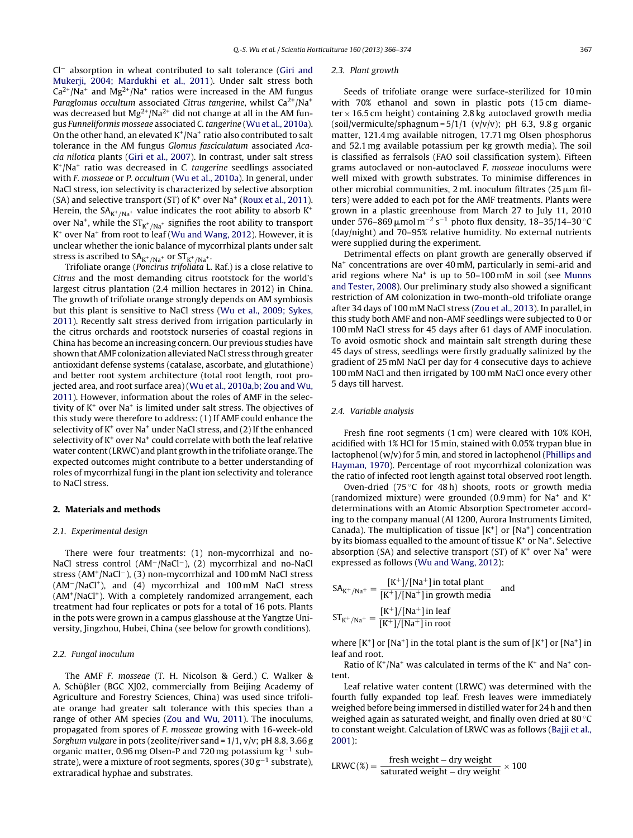Cl− absorption in wheat contributed to salt tolerance [\(Giri](#page-7-0) [and](#page-7-0) [Mukerji,](#page-7-0) [2004;](#page-7-0) [Mardukhi](#page-7-0) et [al.,](#page-7-0) [2011\).](#page-7-0) Under salt stress both  $Ca<sup>2+</sup>/Na<sup>+</sup>$  and Mg<sup>2+</sup>/Na<sup>+</sup> ratios were increased in the AM fungus Paraglomus occultum associated Citrus tangerine, whilst  $Ca^{2+}/Na^{+}$ was decreased but  $Mg^{2+}/Na^{2+}$  did not change at all in the AM fungus Funneliformis mosseae associated C. tangerine ([Wu](#page-8-0) et [al.,](#page-8-0) [2010a\).](#page-8-0) On the other hand, an elevated  $K^+/Na^+$  ratio also contributed to salt tolerance in the AM fungus Glomus fasciculatum associated Acacia nilotica plants ([Giri](#page-7-0) et [al.,](#page-7-0) [2007\).](#page-7-0) In contrast, under salt stress  $K^+/Na^+$  ratio was decreased in C. tangerine seedlings associated with F. mosseae or P. occultum ([Wu](#page-8-0) et [al.,](#page-8-0) [2010a\).](#page-8-0) In general, under NaCl stress, ion selectivity is characterized by selective absorption (SA) and selective transport (ST) of  $K^+$  over Na<sup>+</sup> [\(Roux](#page-7-0) et [al.,](#page-7-0) [2011\).](#page-7-0) Herein, the  $SA_{K^+/Na^+}$  value indicates the root ability to absorb  $K^+$ over Na<sup>+</sup>, while the  $ST_{K^+/Na^+}$  signifies the root ability to transport K+ over Na+ from root to leaf [\(Wu](#page-7-0) [and](#page-7-0) [Wang,](#page-7-0) [2012\).](#page-7-0) However, it is unclear whether the ionic balance of mycorrhizal plants under salt stress is ascribed to  $SA_{K^+/Na^+}$  or  $ST_{K^+/Na^+}$ .

Trifoliate orange (Poncirus trifoliata L. Raf.) is a close relative to Citrus and the most demanding citrus rootstock for the world's largest citrus plantation (2.4 million hectares in 2012) in China. The growth of trifoliate orange strongly depends on AM symbiosis but this plant is sensitive to NaCl stress ([Wu](#page-7-0) et [al.,](#page-7-0) [2009;](#page-7-0) [Sykes,](#page-7-0) [2011\).](#page-7-0) Recently salt stress derived from irrigation particularly in the citrus orchards and rootstock nurseries of coastal regions in China has become an increasing concern. Our previous studies have shown thatAMF colonization alleviated NaCl stress through greater antioxidant defense systems (catalase, ascorbate, and glutathione) and better root system architecture (total root length, root projected area, and root surface area) ([Wu](#page-8-0) et [al.,](#page-8-0) [2010a,b;](#page-8-0) [Zou](#page-8-0) [and](#page-8-0) [Wu,](#page-8-0) [2011\).](#page-8-0) However, information about the roles of AMF in the selectivity of  $K^+$  over Na<sup>+</sup> is limited under salt stress. The objectives of this study were therefore to address: (1) If AMF could enhance the selectivity of  $K^+$  over Na<sup>+</sup> under NaCl stress, and (2) If the enhanced selectivity of  $K^+$  over Na<sup>+</sup> could correlate with both the leaf relative water content(LRWC) and plant growth in the trifoliate orange. The expected outcomes might contribute to a better understanding of roles of mycorrhizal fungi in the plant ion selectivity and tolerance to NaCl stress.

### **2. Materials and methods**

### 2.1. Experimental design

There were four treatments: (1) non-mycorrhizal and no-NaCl stress control (AM−/NaCl−), (2) mycorrhizal and no-NaCl stress (AM+/NaCl−), (3) non-mycorrhizal and 100 mM NaCl stress (AM−/NaCl+), and (4) mycorrhizal and 100 mM NaCl stress (AM+/NaCl+). With a completely randomized arrangement, each treatment had four replicates or pots for a total of 16 pots. Plants in the pots were grown in a campus glasshouse at the Yangtze University, Jingzhou, Hubei, China (see below for growth conditions).

## 2.2. Fungal inoculum

The AMF F. mosseae (T. H. Nicolson & Gerd.) C. Walker & A. Schüßler (BGC XJ02, commercially from Beijing Academy of Agriculture and Forestry Sciences, China) was used since trifoliate orange had greater salt tolerance with this species than a range of other AM species [\(Zou](#page-8-0) [and](#page-8-0) [Wu,](#page-8-0) [2011\).](#page-8-0) The inoculums, propagated from spores of F. mosseae growing with 16-week-old Sorghum vulgare in pots (zeolite/river sand = 1/1, v/v; pH 8.8, 3.66 g organic matter, 0.96 mg Olsen-P and 720 mg potassium kg−<sup>1</sup> substrate), were a mixture of root segments, spores (30  $g^{-1}$  substrate), extraradical hyphae and substrates.

#### 2.3. Plant growth

Seeds of trifoliate orange were surface-sterilized for 10 min with 70% ethanol and sown in plastic pots (15 cm diameter  $\times$  16.5 cm height) containing 2.8 kg autoclaved growth media (soil/vermiculte/sphagnum =  $5/1/1$  (v/v/v); pH 6.3, 9.8 g organic matter, 121.4 mg available nitrogen, 17.71 mg Olsen phosphorus and 52.1 mg available potassium per kg growth media). The soil is classified as ferralsols (FAO soil classification system). Fifteen grams autoclaved or non-autoclaved F. mosseae inoculums were well mixed with growth substrates. To minimise differences in other microbial communities,  $2 \text{ mL}$  inoculum filtrates ( $25 \mu \text{m}$  filters) were added to each pot for the AMF treatments. Plants were grown in a plastic greenhouse from March 27 to July 11, 2010 under 576–869 µmol m<sup>-2</sup> s<sup>-1</sup> photo flux density, 18–35/14–30 °C (day/night) and 70–95% relative humidity. No external nutrients were supplied during the experiment.

Detrimental effects on plant growth are generally observed if Na<sup>+</sup> concentrations are over 40 mM, particularly in semi-arid and arid regions where  $Na<sup>+</sup>$  is up to 50–100 mM in soil (see [Munns](#page-7-0) [and](#page-7-0) [Tester,](#page-7-0) [2008\).](#page-7-0) Our preliminary study also showed a significant restriction of AM colonization in two-month-old trifoliate orange after 34 days of 100 mM NaCl stress ([Zou](#page-8-0) et [al.,](#page-8-0) [2013\).](#page-8-0) In parallel, in this study both AMF and non-AMF seedlings were subjected to 0 or 100 mM NaCl stress for 45 days after 61 days of AMF inoculation. To avoid osmotic shock and maintain salt strength during these 45 days of stress, seedlings were firstly gradually salinized by the gradient of 25 mM NaCl per day for 4 consecutive days to achieve 100 mM NaCl and then irrigated by 100 mM NaCl once every other 5 days till harvest.

#### 2.4. Variable analysis

Fresh fine root segments (1 cm) were cleared with 10% KOH, acidified with 1% HCl for 15 min, stained with 0.05% trypan blue in lactophenol (w/v) for 5 min, and stored in lactophenol ([Phillips](#page-7-0) [and](#page-7-0) [Hayman,](#page-7-0) [1970\).](#page-7-0) Percentage of root mycorrhizal colonization was the ratio of infected root length against total observed root length.

Oven-dried (75 $°C$  for 48 h) shoots, roots or growth media (randomized mixture) were grounded (0.9 mm) for  $Na<sup>+</sup>$  and  $K<sup>+</sup>$ determinations with an Atomic Absorption Spectrometer according to the company manual (AI 1200, Aurora Instruments Limited, Canada). The multiplication of tissue  $[K^+]$  or  $[Na^+]$  concentration by its biomass equalled to the amount of tissue K+ or Na+. Selective absorption (SA) and selective transport (ST) of  $K^+$  over Na<sup>+</sup> were expressed as follows ([Wu](#page-7-0) [and](#page-7-0) [Wang,](#page-7-0) [2012\):](#page-7-0)

$$
SA_{K^+/Na^+} = \frac{[K^+]/[Na^+]\,\text{in total plant}}{[K^+]/[Na^+]\,\text{in growth media}} \quad \text{and}
$$
\n
$$
ST_{K^+/Na^+} = \frac{[K^+]/[Na^+]\,\text{in leaf}}{[K^+]/[Na^+]\,\text{in root}}
$$

where  $[K^+]$  or  $[Na^+]$  in the total plant is the sum of  $[K^+]$  or  $[Na^+]$  in leaf and root.

Ratio of  $K^+/Na^+$  was calculated in terms of the  $K^+$  and Na<sup>+</sup> content.

Leaf relative water content (LRWC) was determined with the fourth fully expanded top leaf. Fresh leaves were immediately weighed before being immersed in distilled water for 24 h and then weighed again as saturated weight, and finally oven dried at 80 ◦C to constant weight. Calculation of LRWC was as follows [\(Bajji](#page-7-0) et [al.,](#page-7-0) [2001\):](#page-7-0)

$$
LRWC(\%) = \frac{fresh weight - dry weight}{saturated weight - dry weight} \times 100
$$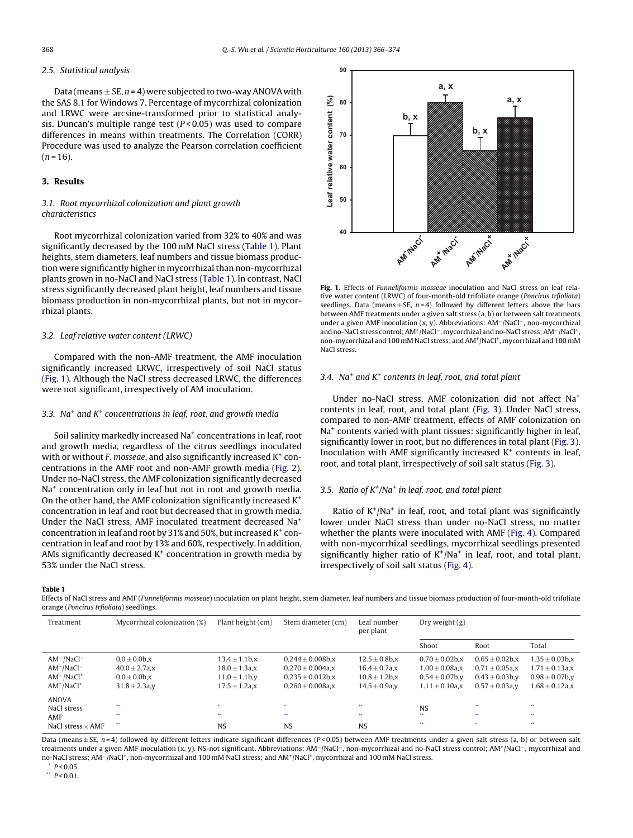## <span id="page-2-0"></span>2.5. Statistical analysis

Data (means  $\pm$  SE, n = 4) were subjected to two-way ANOVA with the SAS 8.1 for Windows 7. Percentage of mycorrhizal colonization and LRWC were arcsine-transformed prior to statistical analysis. Duncan's multiple range test  $(P < 0.05)$  was used to compare differences in means within treatments. The Correlation (CORR) Procedure was used to analyze the Pearson correlation coefficient  $(n = 16)$ .

# **3. Results**

# 3.1. Root mycorrhizal colonization and plant growth characteristics

Root mycorrhizal colonization varied from 32% to 40% and was significantly decreased by the 100 mM NaCl stress (Table 1). Plant heights, stem diameters, leaf numbers and tissue biomass production were significantly higher in mycorrhizal than non-mycorrhizal plants grown in no-NaCl and NaCl stress (Table 1). In contrast, NaCl stress significantly decreased plant height, leaf numbers and tissue biomass production in non-mycorrhizal plants, but not in mycorrhizal plants.

#### 3.2. Leaf relative water content (LRWC)

Compared with the non-AMF treatment, the AMF inoculation significantly increased LRWC, irrespectively of soil NaCl status (Fig. 1). Although the NaCl stress decreased LRWC, the differences were not significant, irrespectively of AM inoculation.

#### 3.3. Na<sup>+</sup> and  $K^+$  concentrations in leaf, root, and growth media

Soil salinity markedly increased Na<sup>+</sup> concentrations in leaf, root and growth media, regardless of the citrus seedlings inoculated with or without F, mosseae, and also significantly increased  $K^+$  concentrations in the AMF root and non-AMF growth media ([Fig.](#page-3-0) 2). Under no-NaCl stress, the AMF colonization significantly decreased Na<sup>+</sup> concentration only in leaf but not in root and growth media. On the other hand, the AMF colonization significantly increased K+ concentration in leaf and root but decreased that in growth media. Under the NaCl stress, AMF inoculated treatment decreased Na+ concentration in leaf and root by 31% and 50%, but increased  $K^+$  concentration in leaf and root by 13% and 60%, respectively. In addition, AMs significantly decreased  $K<sup>+</sup>$  concentration in growth media by 53% under the NaCl stress.



**Fig. 1.** Effects of Funneliformis mosseae inoculation and NaCl stress on leaf relative water content (LRWC) of four-month-old trifoliate orange (Poncirus trfioliata) seedlings. Data (means  $\pm$  SE, n = 4) followed by different letters above the bars between AMF treatments under a given salt stress (a, b) or between salt treatments under a given AMF inoculation (x, y). Abbreviations: AM−/NaCl−, non-mycorrhizal and no-NaCl stress control;AM+/NaCl−,mycorrhizal and no-NaCl stress;AM−/NaCl+, non-mycorrhizal and 100 mM NaCl stress; and AM<sup>+</sup>/NaCl<sup>+</sup>, mycorrhizal and 100 mM NaCl stress.

#### 3.4. Na<sup>+</sup> and  $K^+$  contents in leaf, root, and total plant

Under no-NaCl stress, AMF colonization did not affect Na+ contents in leaf, root, and total plant [\(Fig.](#page-4-0) 3). Under NaCl stress, compared to non-AMF treatment, effects of AMF colonization on Na<sup>+</sup> contents varied with plant tissues: significantly higher in leaf, significantly lower in root, but no differences in total plant [\(Fig.](#page-4-0) 3). Inoculation with AMF significantly increased  $K^+$  contents in leaf, root, and total plant, irrespectively of soil salt status ([Fig.](#page-4-0) 3).

## 3.5. Ratio of  $K^{\dagger}/Na^{\dagger}$  in leaf, root, and total plant

Ratio of  $K^+/Na^+$  in leaf, root, and total plant was significantly lower under NaCl stress than under no-NaCl stress, no matter whether the plants were inoculated with AMF ([Fig.](#page-5-0) 4). Compared with non-mycorrhizal seedlings, mycorrhizal seedlings presented significantly higher ratio of  $K^+/Na^+$  in leaf, root, and total plant, irrespectively of soil salt status [\(Fig.](#page-5-0) 4).

**Table 1**

Effects of NaCl stress and AMF (Funneliformis mosseae) inoculation on plant height, stem diameter, leaf numbers and tissue biomass production of four-month-old trifoliate orange (Poncirus trfioliata) seedlings.

| Treatment                          | Mycorrhizal colonization (%)             | Plant height (cm)                         | Stem diameter (cm)                             | Leaf number<br>per plant                  | Dry weight $(g)$                           |                                            |                                            |
|------------------------------------|------------------------------------------|-------------------------------------------|------------------------------------------------|-------------------------------------------|--------------------------------------------|--------------------------------------------|--------------------------------------------|
|                                    |                                          |                                           |                                                |                                           | Shoot                                      | Root                                       | Total                                      |
| $AM^-/NaCl^-$<br>$AM+/NaCl-$       | $0.0 \pm 0.0$ b.x<br>$40.0 \pm 2.7$ a.x  | $13.4 \pm 1.1$ b.x<br>$18.0 \pm 1.3$ a.x  | $0.244 \pm 0.008$ b.x<br>$0.270 \pm 0.004$ a.x | $12.5 \pm 0.8$ b.x<br>$16.4 \pm 0.7$ a.x  | $0.70 \pm 0.02$ b.x<br>$1.00 \pm 0.08$ a.x | $0.65 \pm 0.02$ b.x<br>$0.71 \pm 0.05$ a.x | $1.35 \pm 0.03$ b,x<br>$1.71 \pm 0.13$ a.x |
| $AM^-/NaCl^+$<br>$AM+/NaCl+$       | $0.0 \pm 0.0$ b.x<br>$31.8 \pm 2.3$ a, y | $11.0 \pm 1.1$ b, v<br>$17.5 \pm 1.2$ a,x | $0.235 \pm 0.012$ b.x<br>$0.260 \pm 0.008$ a.x | $10.8 \pm 1.2$ b.x<br>$14.5 \pm 0.9$ a, y | $0.54 \pm 0.07$ b.v<br>$1.11 \pm 0.10$ a,x | $0.43 \pm 0.03$ b.v<br>$0.57 \pm 0.03$ a.v | $0.98 \pm 0.07$ b, y<br>$1.68\pm0.12$ a,x  |
| <b>ANOVA</b><br>NaCl stress<br>AMF | **<br>**                                 | $\star$<br>**                             | **                                             | **<br>88                                  | <b>NS</b><br>**                            | 88<br>88                                   | 88<br>88                                   |
| NaCl stress $\times$ AMF           | **                                       | <b>NS</b>                                 | <b>NS</b>                                      | <b>NS</b>                                 | 88                                         | *                                          | 88                                         |

Data (means  $\pm$  SE, n = 4) followed by different letters indicate significant differences (P < 0.05) between AMF treatments under a given salt stress (a, b) or between salt treatments under a given AMF inoculation (x, y). NS-not significant. Abbreviations: AM<sup>-</sup>/NaCl<sup>-</sup>, non-mycorrhizal and no-NaCl stress control; AM<sup>+</sup>/NaCl<sup>-</sup>, mycorrhizal and no-NaCl stress; AM−/NaCl+, non-mycorrhizal and 100 mM NaCl stress; and AM+/NaCl+, mycorrhizal and 100 mM NaCl stress.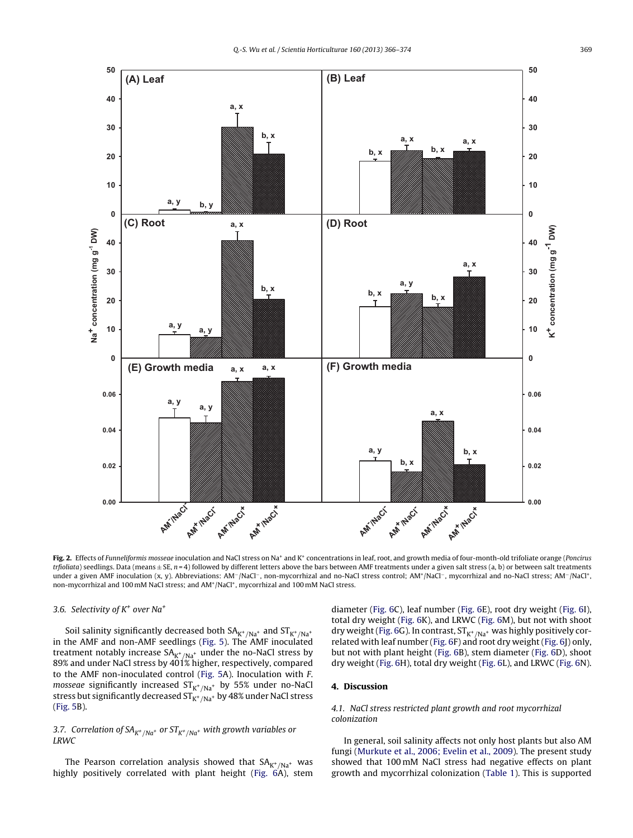<span id="page-3-0"></span>

Fig. 2. Effects of Funneliformis mosseae inoculation and NaCl stress on Na<sup>+</sup> and K<sup>+</sup> concentrations in leaf, root, and growth media of four-month-old trifoliate orange (Poncirus trfioliata) seedlings. Data (means  $\pm$  SE, n = 4) followed by different letters above the bars between AMF treatments under a given salt stress (a, b) or between salt treatments under a given AMF inoculation (x, y). Abbreviations: AM<sup>-</sup>/NaCl<sup>-</sup>, non-mycorrhizal and no-NaCl stress control; AM<sup>+</sup>/NaCl<sup>-</sup>, mycorrhizal and no-NaCl stress; AM<sup>-</sup>/NaCl<sup>+</sup>, non-mycorrhizal and 100 mM NaCl stress; and AM+/NaCl+, mycorrhizal and 100 mM NaCl stress.

#### 3.6. Selectivity of  $K^+$  over Na<sup>+</sup>

Soil salinity significantly decreased both  $SA_{K^+/Na^+}$  and  $ST_{K^+/Na^+}$ in the AMF and non-AMF seedlings [\(Fig.](#page-5-0) 5). The AMF inoculated treatment notably increase  $SA_{K^+/Na^+}$  under the no-NaCl stress by 89% and under NaCl stress by 401% higher, respectively, compared to the AMF non-inoculated control ([Fig.](#page-5-0) 5A). Inoculation with F. *mosseae* significantly increased  $ST_{K^+/Na^+}$  by 55% under no-NaCl stress but significantly decreased  $ST_{K^+/Na^+}$  by 48% under NaCl stress ([Fig.](#page-5-0) 5B).

## 3.7. Correlation of  $SA_{K^+/Na^+}$  or  $ST_{K^+/Na^+}$  with growth variables or LRWC

The Pearson correlation analysis showed that  $SA_{K^+/Na^+}$  was highly positively correlated with plant height [\(Fig.](#page-6-0) 6A), stem diameter [\(Fig.](#page-6-0) 6C), leaf number [\(Fig.](#page-6-0) 6E), root dry weight ([Fig.](#page-6-0) 6I), total dry weight [\(Fig.](#page-6-0) 6K), and LRWC ([Fig.](#page-6-0) 6M), but not with shoot dry weight ([Fig.](#page-6-0) 6G). In contrast,  $ST_{K^+/Na^+}$  was highly positively correlated with leaf number ([Fig.](#page-6-0) 6F) and root dry weight [\(Fig.](#page-6-0) 6J) only, but not with plant height ([Fig.](#page-6-0) 6B), stem diameter ([Fig.](#page-6-0) 6D), shoot dry weight ([Fig.](#page-6-0) 6H), total dry weight ([Fig.](#page-6-0) 6L), and LRWC ([Fig.](#page-6-0) 6N).

## **4. Discussion**

## 4.1. NaCl stress restricted plant growth and root mycorrhizal colonization

In general, soil salinity affects not only host plants but also AM fungi [\(Murkute](#page-7-0) et [al.,](#page-7-0) [2006;](#page-7-0) [Evelin](#page-7-0) et [al.,](#page-7-0) [2009\).](#page-7-0) The present study showed that 100 mM NaCl stress had negative effects on plant growth and mycorrhizal colonization [\(Table](#page-2-0) 1). This is supported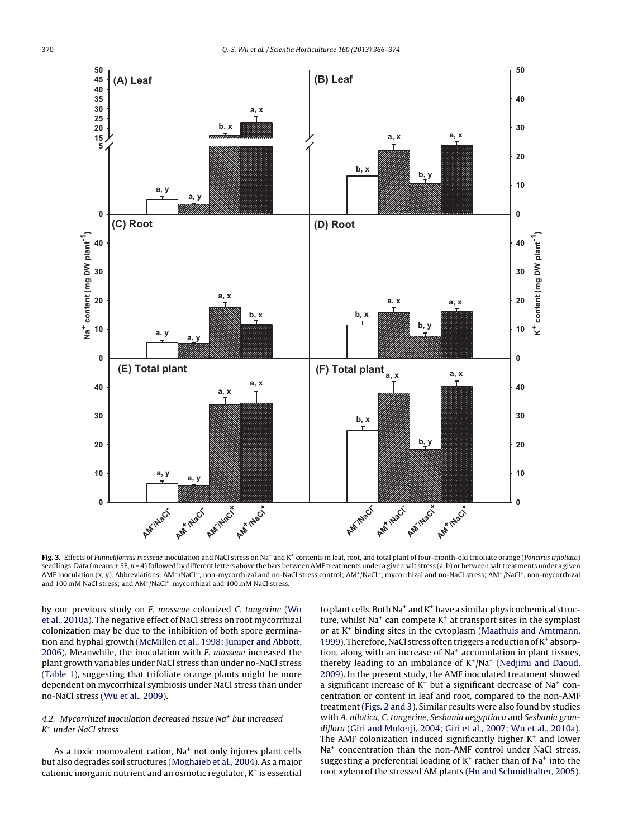<span id="page-4-0"></span>

Fig. 3. Effects of Funneliformis mosseae inoculation and NaCl stress on Na<sup>+</sup> and K<sup>+</sup> contents in leaf, root, and total plant of four-month-old trifoliate orange (Poncirus trfioliata) seedlings. Data (means ± SE, n = 4) followed by different letters above the bars between AMF treatments under a given salt stress (a, b) or between salt treatments under a given AMF inoculation (x, y). Abbreviations: AM<sup>-</sup>/NaCl<sup>-</sup>, non-mycorrhizal and no-NaCl stress control; AM<sup>+</sup>/NaCl<sup>-</sup>, mycorrhizal and no-NaCl stress; AM<sup>-</sup>/NaCl<sup>+</sup>, non-mycorrhizal and 100 mM NaCl stress; and AM<sup>+</sup>/NaCl<sup>+</sup>, mycorrhizal and 100 mM NaCl stress.

by our previous study on F. mosseae colonized C. tangerine ([Wu](#page-8-0) et [al.,](#page-8-0) [2010a\).](#page-8-0) The negative effect of NaCl stress on root mycorrhizal colonization may be due to the inhibition of both spore germination and hyphal growth [\(McMillen](#page-7-0) et [al.,](#page-7-0) [1998;](#page-7-0) [Juniper](#page-7-0) [and](#page-7-0) [Abbott,](#page-7-0) [2006\).](#page-7-0) Meanwhile, the inoculation with F. mosseae increased the plant growth variables under NaCl stress than under no-NaCl stress ([Table](#page-2-0) 1), suggesting that trifoliate orange plants might be more dependent on mycorrhizal symbiosis under NaCl stress than under no-NaCl stress [\(Wu](#page-7-0) et [al.,](#page-7-0) [2009\).](#page-7-0)

## 4.2. Mycorrhizal inoculation decreased tissue  $Na<sup>+</sup>$  but increased K+ under NaCl stress

As a toxic monovalent cation, Na<sup>+</sup> not only injures plant cells but also degrades soil structures ([Moghaieb](#page-7-0) et [al.,](#page-7-0) [2004\).](#page-7-0) As a major cationic inorganic nutrient and an osmotic regulator,  $K^+$  is essential

to plant cells. Both Na<sup>+</sup> and K<sup>+</sup> have a similar physicochemical structure, whilst  $Na<sup>+</sup>$  can compete  $K<sup>+</sup>$  at transport sites in the symplast or at K+ binding sites in the cytoplasm [\(Maathuis](#page-7-0) [and](#page-7-0) [Amtmann,](#page-7-0) [1999\).](#page-7-0) Therefore, NaCl stress often triggers a reduction of K<sup>+</sup> absorption, along with an increase of Na+ accumulation in plant tissues, thereby leading to an imbalance of  $K^+/Na^+$  ([Nedjimi](#page-7-0) [and](#page-7-0) [Daoud,](#page-7-0) [2009\).](#page-7-0) In the present study, the AMF inoculated treatment showed a significant increase of  $K^+$  but a significant decrease of Na<sup>+</sup> concentration or content in leaf and root, compared to the non-AMF treatment ([Figs.](#page-3-0) 2 and 3). Similar results were also found by studies with A. nilotica, C. tangerine, Sesbania aegyptiaca and Sesbania grandiflora ([Giri](#page-7-0) [and](#page-7-0) [Mukerji,](#page-7-0) [2004;](#page-7-0) [Giri](#page-7-0) et [al.,](#page-7-0) [2007;](#page-7-0) [Wu](#page-7-0) et [al.,](#page-7-0) [2010a\).](#page-7-0) The AMF colonization induced significantly higher  $K^+$  and lower Na<sup>+</sup> concentration than the non-AMF control under NaCl stress, suggesting a preferential loading of  $K^+$  rather than of Na<sup>+</sup> into the root xylem of the stressed AM plants ([Hu](#page-7-0) [and](#page-7-0) [Schmidhalter,](#page-7-0) [2005\).](#page-7-0)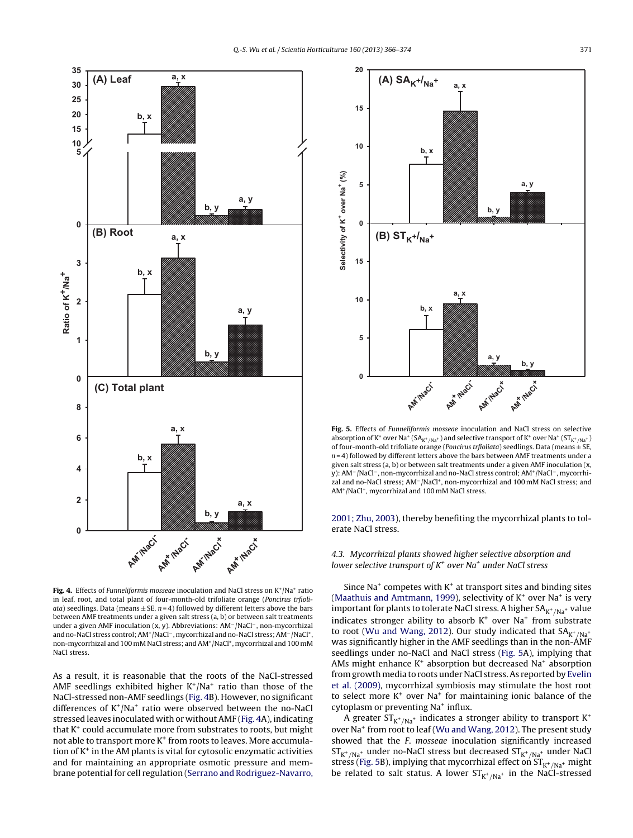<span id="page-5-0"></span>

Fig. 4. Effects of Funneliformis mosseae inoculation and NaCl stress on K<sup>+</sup>/Na<sup>+</sup> ratio in leaf, root, and total plant of four-month-old trifoliate orange (Poncirus trfioliata) seedlings. Data (means  $\pm$  SE,  $n = 4$ ) followed by different letters above the bars between AMF treatments under a given salt stress (a, b) or between salt treatments under a given AMF inoculation (x, y). Abbreviations: AM−/NaCl−, non-mycorrhizal and no-NaCl stress control;AM+/NaCl−,mycorrhizal and no-NaCl stress;AM−/NaCl+, non-mycorrhizal and 100 mM NaCl stress; and AM<sup>+</sup>/NaCl<sup>+</sup>, mycorrhizal and 100 mM NaCl stress.

As a result, it is reasonable that the roots of the NaCl-stressed AMF seedlings exhibited higher  $K^+/Na^+$  ratio than those of the NaCl-stressed non-AMF seedlings (Fig. 4B). However, no significant differences of  $K^+/Na^+$  ratio were observed between the no-NaCl stressed leaves inoculated with or without AMF (Fig. 4A), indicating that  $K^+$  could accumulate more from substrates to roots, but might not able to transport more K<sup>+</sup> from roots to leaves. More accumulation of  $K^+$  in the AM plants is vital for cytosolic enzymatic activities and for maintaining an appropriate osmotic pressure and membrane potential for cell regulation ([Serrano](#page-7-0) [and](#page-7-0) [Rodriguez-Navarro,](#page-7-0)



**Fig. 5.** Effects of Funneliformis mosseae inoculation and NaCl stress on selective absorption of K<sup>+</sup> over Na<sup>+</sup> (SA<sub>K<sup>+</sup>/Na<sup>+</sup>) and selective transport of K<sup>+</sup> over Na<sup>+</sup> (ST<sub>K<sup>+</sup>/Na<sup>+</sup>)</sub></sub> of four-month-old trifoliate orange (*Poncirus trfioliata*) seedlings. Data (means  $\pm$  SE,  $n = 4$ ) followed by different letters above the bars between AMF treatments under a given salt stress (a, b) or between salt treatments under a given AMF inoculation (x, y): AM−/NaCl−, non-mycorrhizal and no-NaCl stress control; AM+/NaCl−, mycorrhizal and no-NaCl stress; AM−/NaCl+, non-mycorrhizal and 100 mM NaCl stress; and AM+/NaCl+, mycorrhizal and 100 mM NaCl stress.

[2001;](#page-7-0) [Zhu,](#page-7-0) [2003\),](#page-7-0) thereby benefiting the mycorrhizal plants to tolerate NaCl stress.

4.3. Mycorrhizal plants showed higher selective absorption and lower selective transport of  $K^+$  over Na<sup>+</sup> under NaCl stress

Since  $Na<sup>+</sup>$  competes with  $K<sup>+</sup>$  at transport sites and binding sites [\(Maathuis](#page-7-0) [and](#page-7-0) [Amtmann,](#page-7-0) [1999\),](#page-7-0) selectivity of  $K^+$  over Na<sup>+</sup> is very important for plants to tolerate NaCl stress. A higher  $SA_{K^+/Na^+}$  value indicates stronger ability to absorb  $K^+$  over Na<sup>+</sup> from substrate to root ([Wu](#page-7-0) [and](#page-7-0) [Wang,](#page-7-0) [2012\).](#page-7-0) Our study indicated that  $SA_{K^+/Na^+}$ was significantly higher in the AMF seedlings than in the non-AMF seedlings under no-NaCl and NaCl stress (Fig. 5A), implying that AMs might enhance  $K^+$  absorption but decreased Na<sup>+</sup> absorption from growth media to roots under NaCl stress.As reported by [Evelin](#page-7-0) et [al.](#page-7-0) [\(2009\),](#page-7-0) mycorrhizal symbiosis may stimulate the host root to select more  $K^+$  over Na<sup>+</sup> for maintaining ionic balance of the cytoplasm or preventing Na<sup>+</sup> influx.

A greater  $ST_{K^+/Na^+}$  indicates a stronger ability to transport  $K^+$ over Na<sup>+</sup> from root to leaf ([Wu](#page-7-0) [and](#page-7-0) [Wang,](#page-7-0) [2012\).](#page-7-0) The present study showed that the F. mosseae inoculation significantly increased  $ST_{K^+/Na^+}$  under no-NaCl stress but decreased  $ST_{K^+/Na^+}$  under NaCl stress (Fig. 5B), implying that mycorrhizal effect on  $ST_{K^+/Na^+}$  might be related to salt status. A lower  $ST_{K^+/Na^+}$  in the NaCl-stressed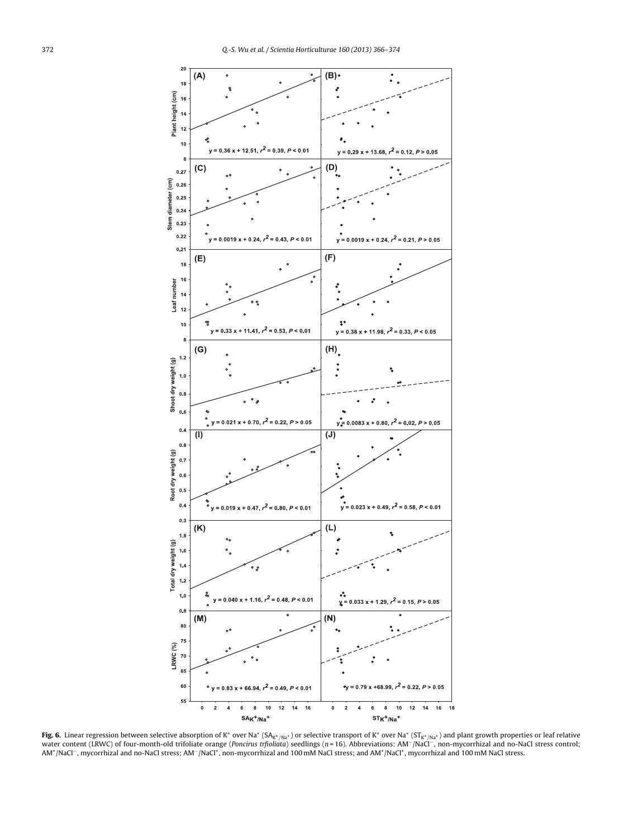<span id="page-6-0"></span>

**Fig. 6.** Linear regression between selective absorption of K\* over Na\* (SA<sub>K\*/Na\*</sub>) or selective transport of K\* over Na\* (ST<sub>K\*/Na\*</sub>) and plant growth properties or leaf relative<br>water content (LRWC) of four-month-old tr AM+/NaCl−, mycorrhizal and no-NaCl stress; AM−/NaCl+, non-mycorrhizal and 100 mM NaCl stress; and AM+/NaCl+, mycorrhizal and 100 mM NaCl stress.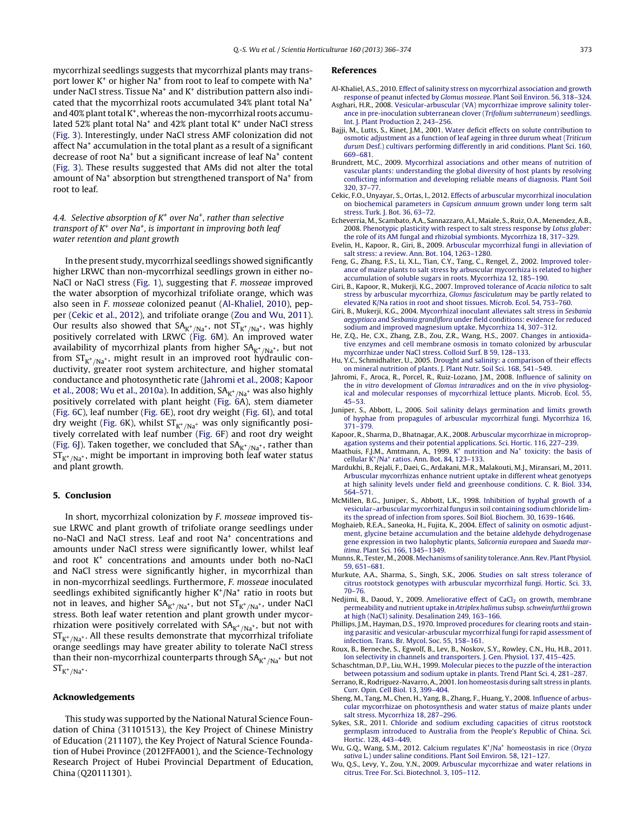<span id="page-7-0"></span>mycorrhizal seedlings suggests that mycorrhizal plants may transport lower  $K^+$  or higher Na<sup>+</sup> from root to leaf to compete with Na<sup>+</sup> under NaCl stress. Tissue Na<sup>+</sup> and K<sup>+</sup> distribution pattern also indicated that the mycorrhizal roots accumulated 34% plant total Na+ and  $40\%$  plant total K<sup>+</sup>, whereas the non-mycorrhizal roots accumulated 52% plant total Na<sup>+</sup> and 42% plant total  $K^+$  under NaCl stress ([Fig.](#page-4-0) 3). Interestingly, under NaCl stress AMF colonization did not affect Na+ accumulation in the total plant as a result of a significant decrease of root Na+ but a significant increase of leaf Na+ content ([Fig.](#page-4-0) 3). These results suggested that AMs did not alter the total amount of Na<sup>+</sup> absorption but strengthened transport of Na<sup>+</sup> from root to leaf.

## 4.4. Selective absorption of  $K^+$  over Na<sup>+</sup>, rather than selective transport of  $K^+$  over Na<sup>+</sup>, is important in improving both leaf water retention and plant growth

In the present study, mycorrhizal seedlings showed significantly higher LRWC than non-mycorrhizal seedlings grown in either no-NaCl or NaCl stress [\(Fig.](#page-2-0) 1), suggesting that F. mosseae improved the water absorption of mycorhizal trifoliate orange, which was also seen in F. mosseae colonized peanut (Al-Khaliel, 2010), pepper (Cekic et al., 2012), and trifoliate orange [\(Zou](#page-8-0) [and](#page-8-0) [Wu,](#page-8-0) [2011\).](#page-8-0) Our results also showed that SA $_{\rm K^+/Na^+}$ , not ST $_{\rm K^+/Na^+}$ , was highly positively correlated with LRWC [\(Fig.](#page-6-0) 6M). An improved water availability of mycorrhizal plants from higher  $SA_{K^+/Na^+}$ , but not from  $ST_{K^+/Na^+}$ , might result in an improved root hydraulic conductivity, greater root system architecture, and higher stomatal conductance and photosynthetic rate (Jahromi et al., 2008; Kapoor et al., 2008; Wu et al., 2010a). In addition,  $SA_{K^+/Na^+}$  was also highly positively correlated with plant height ([Fig.](#page-6-0) 6A), stem diameter ([Fig.](#page-6-0) 6C), leaf number ([Fig.](#page-6-0) 6E), root dry weight [\(Fig.](#page-6-0) 6I), and total dry weight [\(Fig.](#page-6-0) 6K), whilst  $\mathrm{ST}_{\mathrm{K}^+/\mathrm{Na}^+}$  was only significantly positively correlated with leaf number ([Fig.](#page-6-0) 6F) and root dry weight ([Fig.](#page-6-0) 6J). Taken together, we concluded that  $SA_{K^+/Na^+}$ , rather than  $ST_{K^+/Na^+}$ , might be important in improving both leaf water status and plant growth.

### **5. Conclusion**

In short, mycorrhizal colonization by F. mosseae improved tissue LRWC and plant growth of trifoliate orange seedlings under no-NaCl and NaCl stress. Leaf and root Na+ concentrations and amounts under NaCl stress were significantly lower, whilst leaf and root  $K^+$  concentrations and amounts under both no-NaCl and NaCl stress were significantly higher, in mycorrhizal than in non-mycorrhizal seedlings. Furthermore, F. mosseae inoculated seedlings exhibited significantly higher  $K^+/Na^+$  ratio in roots but not in leaves, and higher  $SA_{K^+/Na^+}$ , but not  $ST_{K^+/Na^+}$ , under NaCl stress. Both leaf water retention and plant growth under mycorrhization were positively correlated with  $SA_{K^+/Na^+}$ , but not with  $ST_{K^+/Na^+}$ . All these results demonstrate that mycorrhizal trifoliate orange seedlings may have greater ability to tolerate NaCl stress than their non-mycorrhizal counterparts through  $SA_{K^+/Na^+}$  but not  $ST_{K^+/Na^+}.$ 

#### **Acknowledgements**

This study was supported by the National Natural Science Foundation of China (31101513), the Key Project of Chinese Ministry of Education (211107), the Key Project of Natural Science Foundation of Hubei Province (2012FFA001), and the Science-Technology Research Project of Hubei Provincial Department of Education, China (Q20111301).

#### **References**

- Al-Khaliel, A.S., 2010. [Effect](http://refhub.elsevier.com/S0304-4238(13)00297-5/sbref0005) [of](http://refhub.elsevier.com/S0304-4238(13)00297-5/sbref0005) [salinity](http://refhub.elsevier.com/S0304-4238(13)00297-5/sbref0005) [stress](http://refhub.elsevier.com/S0304-4238(13)00297-5/sbref0005) [on](http://refhub.elsevier.com/S0304-4238(13)00297-5/sbref0005) [mycorrhizal](http://refhub.elsevier.com/S0304-4238(13)00297-5/sbref0005) [association](http://refhub.elsevier.com/S0304-4238(13)00297-5/sbref0005) [and](http://refhub.elsevier.com/S0304-4238(13)00297-5/sbref0005) [growth](http://refhub.elsevier.com/S0304-4238(13)00297-5/sbref0005) [response](http://refhub.elsevier.com/S0304-4238(13)00297-5/sbref0005) [of](http://refhub.elsevier.com/S0304-4238(13)00297-5/sbref0005) [peanut](http://refhub.elsevier.com/S0304-4238(13)00297-5/sbref0005) [infected](http://refhub.elsevier.com/S0304-4238(13)00297-5/sbref0005) [by](http://refhub.elsevier.com/S0304-4238(13)00297-5/sbref0005) [Glomus](http://refhub.elsevier.com/S0304-4238(13)00297-5/sbref0005) [mosseae](http://refhub.elsevier.com/S0304-4238(13)00297-5/sbref0005)[.](http://refhub.elsevier.com/S0304-4238(13)00297-5/sbref0005) [Plant](http://refhub.elsevier.com/S0304-4238(13)00297-5/sbref0005) [Soil](http://refhub.elsevier.com/S0304-4238(13)00297-5/sbref0005) [Environ.](http://refhub.elsevier.com/S0304-4238(13)00297-5/sbref0005) [56,](http://refhub.elsevier.com/S0304-4238(13)00297-5/sbref0005) [318–324.](http://refhub.elsevier.com/S0304-4238(13)00297-5/sbref0005)
- Asghari, H.R., 2008. [Vesicular-arbuscular](http://refhub.elsevier.com/S0304-4238(13)00297-5/sbref0010) [\(VA\)](http://refhub.elsevier.com/S0304-4238(13)00297-5/sbref0010) [mycorrhizae](http://refhub.elsevier.com/S0304-4238(13)00297-5/sbref0010) [improve](http://refhub.elsevier.com/S0304-4238(13)00297-5/sbref0010) [salinity](http://refhub.elsevier.com/S0304-4238(13)00297-5/sbref0010) [toler](http://refhub.elsevier.com/S0304-4238(13)00297-5/sbref0010)[ance](http://refhub.elsevier.com/S0304-4238(13)00297-5/sbref0010) [in](http://refhub.elsevier.com/S0304-4238(13)00297-5/sbref0010) [pre-inoculation](http://refhub.elsevier.com/S0304-4238(13)00297-5/sbref0010) [subterranean](http://refhub.elsevier.com/S0304-4238(13)00297-5/sbref0010) [clover](http://refhub.elsevier.com/S0304-4238(13)00297-5/sbref0010) [\(](http://refhub.elsevier.com/S0304-4238(13)00297-5/sbref0010)[Trifolium](http://refhub.elsevier.com/S0304-4238(13)00297-5/sbref0010) [subterraneum](http://refhub.elsevier.com/S0304-4238(13)00297-5/sbref0010)[\)](http://refhub.elsevier.com/S0304-4238(13)00297-5/sbref0010) [seedlings.](http://refhub.elsevier.com/S0304-4238(13)00297-5/sbref0010) [Int.](http://refhub.elsevier.com/S0304-4238(13)00297-5/sbref0010) [J.](http://refhub.elsevier.com/S0304-4238(13)00297-5/sbref0010) [Plant](http://refhub.elsevier.com/S0304-4238(13)00297-5/sbref0010) [Production](http://refhub.elsevier.com/S0304-4238(13)00297-5/sbref0010) [2,](http://refhub.elsevier.com/S0304-4238(13)00297-5/sbref0010) [243–256.](http://refhub.elsevier.com/S0304-4238(13)00297-5/sbref0010)
- Bajji, M., Lutts, S., Kinet, J.M., 2001. [Water](http://refhub.elsevier.com/S0304-4238(13)00297-5/sbref0015) [deficit](http://refhub.elsevier.com/S0304-4238(13)00297-5/sbref0015) [effects](http://refhub.elsevier.com/S0304-4238(13)00297-5/sbref0015) [on](http://refhub.elsevier.com/S0304-4238(13)00297-5/sbref0015) [solute](http://refhub.elsevier.com/S0304-4238(13)00297-5/sbref0015) [contribution](http://refhub.elsevier.com/S0304-4238(13)00297-5/sbref0015) [to](http://refhub.elsevier.com/S0304-4238(13)00297-5/sbref0015) [osmotic](http://refhub.elsevier.com/S0304-4238(13)00297-5/sbref0015) [adjustment](http://refhub.elsevier.com/S0304-4238(13)00297-5/sbref0015) [as](http://refhub.elsevier.com/S0304-4238(13)00297-5/sbref0015) [a](http://refhub.elsevier.com/S0304-4238(13)00297-5/sbref0015) [function](http://refhub.elsevier.com/S0304-4238(13)00297-5/sbref0015) [of](http://refhub.elsevier.com/S0304-4238(13)00297-5/sbref0015) [leaf](http://refhub.elsevier.com/S0304-4238(13)00297-5/sbref0015) [ageing](http://refhub.elsevier.com/S0304-4238(13)00297-5/sbref0015) [in](http://refhub.elsevier.com/S0304-4238(13)00297-5/sbref0015) [three](http://refhub.elsevier.com/S0304-4238(13)00297-5/sbref0015) [durum](http://refhub.elsevier.com/S0304-4238(13)00297-5/sbref0015) [wheat](http://refhub.elsevier.com/S0304-4238(13)00297-5/sbref0015) [\(](http://refhub.elsevier.com/S0304-4238(13)00297-5/sbref0015)[Triticum](http://refhub.elsevier.com/S0304-4238(13)00297-5/sbref0015) [durum](http://refhub.elsevier.com/S0304-4238(13)00297-5/sbref0015) [Desf.\)](http://refhub.elsevier.com/S0304-4238(13)00297-5/sbref0015) [cultivars](http://refhub.elsevier.com/S0304-4238(13)00297-5/sbref0015) [performing](http://refhub.elsevier.com/S0304-4238(13)00297-5/sbref0015) [differently](http://refhub.elsevier.com/S0304-4238(13)00297-5/sbref0015) [in](http://refhub.elsevier.com/S0304-4238(13)00297-5/sbref0015) [arid](http://refhub.elsevier.com/S0304-4238(13)00297-5/sbref0015) [conditions.](http://refhub.elsevier.com/S0304-4238(13)00297-5/sbref0015) [Plant](http://refhub.elsevier.com/S0304-4238(13)00297-5/sbref0015) [Sci.](http://refhub.elsevier.com/S0304-4238(13)00297-5/sbref0015) [160,](http://refhub.elsevier.com/S0304-4238(13)00297-5/sbref0015) [669](http://refhub.elsevier.com/S0304-4238(13)00297-5/sbref0015)–[681.](http://refhub.elsevier.com/S0304-4238(13)00297-5/sbref0015)
- Brundrett, M.C., 2009. [Mycorrhizal](http://refhub.elsevier.com/S0304-4238(13)00297-5/sbref0020) [associations](http://refhub.elsevier.com/S0304-4238(13)00297-5/sbref0020) [and](http://refhub.elsevier.com/S0304-4238(13)00297-5/sbref0020) [other](http://refhub.elsevier.com/S0304-4238(13)00297-5/sbref0020) [means](http://refhub.elsevier.com/S0304-4238(13)00297-5/sbref0020) [of](http://refhub.elsevier.com/S0304-4238(13)00297-5/sbref0020) [nutrition](http://refhub.elsevier.com/S0304-4238(13)00297-5/sbref0020) [of](http://refhub.elsevier.com/S0304-4238(13)00297-5/sbref0020) [vascular](http://refhub.elsevier.com/S0304-4238(13)00297-5/sbref0020) [plants:](http://refhub.elsevier.com/S0304-4238(13)00297-5/sbref0020) [understanding](http://refhub.elsevier.com/S0304-4238(13)00297-5/sbref0020) [the](http://refhub.elsevier.com/S0304-4238(13)00297-5/sbref0020) [global](http://refhub.elsevier.com/S0304-4238(13)00297-5/sbref0020) [diversity](http://refhub.elsevier.com/S0304-4238(13)00297-5/sbref0020) [of](http://refhub.elsevier.com/S0304-4238(13)00297-5/sbref0020) [host](http://refhub.elsevier.com/S0304-4238(13)00297-5/sbref0020) [plants](http://refhub.elsevier.com/S0304-4238(13)00297-5/sbref0020) [by](http://refhub.elsevier.com/S0304-4238(13)00297-5/sbref0020) [resolving](http://refhub.elsevier.com/S0304-4238(13)00297-5/sbref0020) [conflicting](http://refhub.elsevier.com/S0304-4238(13)00297-5/sbref0020) [information](http://refhub.elsevier.com/S0304-4238(13)00297-5/sbref0020) [and](http://refhub.elsevier.com/S0304-4238(13)00297-5/sbref0020) [developing](http://refhub.elsevier.com/S0304-4238(13)00297-5/sbref0020) [reliable](http://refhub.elsevier.com/S0304-4238(13)00297-5/sbref0020) [means](http://refhub.elsevier.com/S0304-4238(13)00297-5/sbref0020) [of](http://refhub.elsevier.com/S0304-4238(13)00297-5/sbref0020) [diagnosis.](http://refhub.elsevier.com/S0304-4238(13)00297-5/sbref0020) [Plant](http://refhub.elsevier.com/S0304-4238(13)00297-5/sbref0020) [Soil](http://refhub.elsevier.com/S0304-4238(13)00297-5/sbref0020) [320,](http://refhub.elsevier.com/S0304-4238(13)00297-5/sbref0020) [37](http://refhub.elsevier.com/S0304-4238(13)00297-5/sbref0020)–[77.](http://refhub.elsevier.com/S0304-4238(13)00297-5/sbref0020)
- Cekic, F.O., Unyayar, S., Ortas, I., 2012. [Effects](http://refhub.elsevier.com/S0304-4238(13)00297-5/sbref0025) [of](http://refhub.elsevier.com/S0304-4238(13)00297-5/sbref0025) [arbuscular](http://refhub.elsevier.com/S0304-4238(13)00297-5/sbref0025) [mycorrhizal](http://refhub.elsevier.com/S0304-4238(13)00297-5/sbref0025) [inoculation](http://refhub.elsevier.com/S0304-4238(13)00297-5/sbref0025) [on](http://refhub.elsevier.com/S0304-4238(13)00297-5/sbref0025) [biochemical](http://refhub.elsevier.com/S0304-4238(13)00297-5/sbref0025) [parameters](http://refhub.elsevier.com/S0304-4238(13)00297-5/sbref0025) [in](http://refhub.elsevier.com/S0304-4238(13)00297-5/sbref0025) [Capsicum](http://refhub.elsevier.com/S0304-4238(13)00297-5/sbref0025) [annuum](http://refhub.elsevier.com/S0304-4238(13)00297-5/sbref0025) [grown](http://refhub.elsevier.com/S0304-4238(13)00297-5/sbref0025) [under](http://refhub.elsevier.com/S0304-4238(13)00297-5/sbref0025) [long](http://refhub.elsevier.com/S0304-4238(13)00297-5/sbref0025) [term](http://refhub.elsevier.com/S0304-4238(13)00297-5/sbref0025) [salt](http://refhub.elsevier.com/S0304-4238(13)00297-5/sbref0025) [stress.](http://refhub.elsevier.com/S0304-4238(13)00297-5/sbref0025) [Turk.](http://refhub.elsevier.com/S0304-4238(13)00297-5/sbref0025) [J.](http://refhub.elsevier.com/S0304-4238(13)00297-5/sbref0025) [Bot.](http://refhub.elsevier.com/S0304-4238(13)00297-5/sbref0025) [36,](http://refhub.elsevier.com/S0304-4238(13)00297-5/sbref0025) [63](http://refhub.elsevier.com/S0304-4238(13)00297-5/sbref0025)–[72.](http://refhub.elsevier.com/S0304-4238(13)00297-5/sbref0025)
- Echeverria, M., Scambato, A.A., Sannazzaro, A.I., Maiale, S., Ruiz, O.A., Menendez, A.B., 2008. [Phenotypic](http://refhub.elsevier.com/S0304-4238(13)00297-5/sbref0030) [plasticity](http://refhub.elsevier.com/S0304-4238(13)00297-5/sbref0030) [with](http://refhub.elsevier.com/S0304-4238(13)00297-5/sbref0030) [respect](http://refhub.elsevier.com/S0304-4238(13)00297-5/sbref0030) [to](http://refhub.elsevier.com/S0304-4238(13)00297-5/sbref0030) [salt](http://refhub.elsevier.com/S0304-4238(13)00297-5/sbref0030) [stress](http://refhub.elsevier.com/S0304-4238(13)00297-5/sbref0030) [response](http://refhub.elsevier.com/S0304-4238(13)00297-5/sbref0030) [by](http://refhub.elsevier.com/S0304-4238(13)00297-5/sbref0030) [Lotus](http://refhub.elsevier.com/S0304-4238(13)00297-5/sbref0030) [glaber](http://refhub.elsevier.com/S0304-4238(13)00297-5/sbref0030)[:](http://refhub.elsevier.com/S0304-4238(13)00297-5/sbref0030) [the](http://refhub.elsevier.com/S0304-4238(13)00297-5/sbref0030) [role](http://refhub.elsevier.com/S0304-4238(13)00297-5/sbref0030) [of](http://refhub.elsevier.com/S0304-4238(13)00297-5/sbref0030) [its](http://refhub.elsevier.com/S0304-4238(13)00297-5/sbref0030) [AM](http://refhub.elsevier.com/S0304-4238(13)00297-5/sbref0030) [fungal](http://refhub.elsevier.com/S0304-4238(13)00297-5/sbref0030) [and](http://refhub.elsevier.com/S0304-4238(13)00297-5/sbref0030) [rhizobial](http://refhub.elsevier.com/S0304-4238(13)00297-5/sbref0030) [symbionts.](http://refhub.elsevier.com/S0304-4238(13)00297-5/sbref0030) [Mycorrhiza](http://refhub.elsevier.com/S0304-4238(13)00297-5/sbref0030) [18,](http://refhub.elsevier.com/S0304-4238(13)00297-5/sbref0030) [317–329.](http://refhub.elsevier.com/S0304-4238(13)00297-5/sbref0030)
- Evelin, H., Kapoor, R., Giri, B., 2009. [Arbuscular](http://refhub.elsevier.com/S0304-4238(13)00297-5/sbref0035) [mycorrhizal](http://refhub.elsevier.com/S0304-4238(13)00297-5/sbref0035) [fungi](http://refhub.elsevier.com/S0304-4238(13)00297-5/sbref0035) [in](http://refhub.elsevier.com/S0304-4238(13)00297-5/sbref0035) [alleviation](http://refhub.elsevier.com/S0304-4238(13)00297-5/sbref0035) [of](http://refhub.elsevier.com/S0304-4238(13)00297-5/sbref0035) [salt](http://refhub.elsevier.com/S0304-4238(13)00297-5/sbref0035) [stress:](http://refhub.elsevier.com/S0304-4238(13)00297-5/sbref0035) [a](http://refhub.elsevier.com/S0304-4238(13)00297-5/sbref0035) [review.](http://refhub.elsevier.com/S0304-4238(13)00297-5/sbref0035) [Ann.](http://refhub.elsevier.com/S0304-4238(13)00297-5/sbref0035) [Bot.](http://refhub.elsevier.com/S0304-4238(13)00297-5/sbref0035) [104,](http://refhub.elsevier.com/S0304-4238(13)00297-5/sbref0035) [1263](http://refhub.elsevier.com/S0304-4238(13)00297-5/sbref0035)–[1280.](http://refhub.elsevier.com/S0304-4238(13)00297-5/sbref0035)
- Feng, G., Zhang, F.S., Li, X.L., Tian, C.Y., Tang, C., Rengel, Z., 2002. [Improved](http://refhub.elsevier.com/S0304-4238(13)00297-5/sbref0040) [toler](http://refhub.elsevier.com/S0304-4238(13)00297-5/sbref0040)[ance](http://refhub.elsevier.com/S0304-4238(13)00297-5/sbref0040) [of](http://refhub.elsevier.com/S0304-4238(13)00297-5/sbref0040) [maize](http://refhub.elsevier.com/S0304-4238(13)00297-5/sbref0040) [plants](http://refhub.elsevier.com/S0304-4238(13)00297-5/sbref0040) [to](http://refhub.elsevier.com/S0304-4238(13)00297-5/sbref0040) [salt](http://refhub.elsevier.com/S0304-4238(13)00297-5/sbref0040) [stress](http://refhub.elsevier.com/S0304-4238(13)00297-5/sbref0040) [by](http://refhub.elsevier.com/S0304-4238(13)00297-5/sbref0040) [arbuscular](http://refhub.elsevier.com/S0304-4238(13)00297-5/sbref0040) [mycorrhiza](http://refhub.elsevier.com/S0304-4238(13)00297-5/sbref0040) [is](http://refhub.elsevier.com/S0304-4238(13)00297-5/sbref0040) [related](http://refhub.elsevier.com/S0304-4238(13)00297-5/sbref0040) [to](http://refhub.elsevier.com/S0304-4238(13)00297-5/sbref0040) [higher](http://refhub.elsevier.com/S0304-4238(13)00297-5/sbref0040) [accumulation](http://refhub.elsevier.com/S0304-4238(13)00297-5/sbref0040) [of](http://refhub.elsevier.com/S0304-4238(13)00297-5/sbref0040) [soluble](http://refhub.elsevier.com/S0304-4238(13)00297-5/sbref0040) [sugars](http://refhub.elsevier.com/S0304-4238(13)00297-5/sbref0040) [in](http://refhub.elsevier.com/S0304-4238(13)00297-5/sbref0040) [roots.](http://refhub.elsevier.com/S0304-4238(13)00297-5/sbref0040) [Mycorrhiza](http://refhub.elsevier.com/S0304-4238(13)00297-5/sbref0040) [12,](http://refhub.elsevier.com/S0304-4238(13)00297-5/sbref0040) [185–190.](http://refhub.elsevier.com/S0304-4238(13)00297-5/sbref0040)
- Giri, B., Kapoor, R., Mukerji, K.G., 2007. [Improved](http://refhub.elsevier.com/S0304-4238(13)00297-5/sbref0045) [tolerance](http://refhub.elsevier.com/S0304-4238(13)00297-5/sbref0045) [of](http://refhub.elsevier.com/S0304-4238(13)00297-5/sbref0045) [Acacia](http://refhub.elsevier.com/S0304-4238(13)00297-5/sbref0045) [nilotica](http://refhub.elsevier.com/S0304-4238(13)00297-5/sbref0045) [to](http://refhub.elsevier.com/S0304-4238(13)00297-5/sbref0045) [salt](http://refhub.elsevier.com/S0304-4238(13)00297-5/sbref0045) [stress](http://refhub.elsevier.com/S0304-4238(13)00297-5/sbref0045) [by](http://refhub.elsevier.com/S0304-4238(13)00297-5/sbref0045) [arbuscular](http://refhub.elsevier.com/S0304-4238(13)00297-5/sbref0045) [mycorrhiza,](http://refhub.elsevier.com/S0304-4238(13)00297-5/sbref0045) [Glomus](http://refhub.elsevier.com/S0304-4238(13)00297-5/sbref0045) [fasciculatum](http://refhub.elsevier.com/S0304-4238(13)00297-5/sbref0045) [may](http://refhub.elsevier.com/S0304-4238(13)00297-5/sbref0045) [be](http://refhub.elsevier.com/S0304-4238(13)00297-5/sbref0045) [partly](http://refhub.elsevier.com/S0304-4238(13)00297-5/sbref0045) [related](http://refhub.elsevier.com/S0304-4238(13)00297-5/sbref0045) [to](http://refhub.elsevier.com/S0304-4238(13)00297-5/sbref0045) [elevated](http://refhub.elsevier.com/S0304-4238(13)00297-5/sbref0045) [K/Na](http://refhub.elsevier.com/S0304-4238(13)00297-5/sbref0045) [ratios](http://refhub.elsevier.com/S0304-4238(13)00297-5/sbref0045) [in](http://refhub.elsevier.com/S0304-4238(13)00297-5/sbref0045) [root](http://refhub.elsevier.com/S0304-4238(13)00297-5/sbref0045) [and](http://refhub.elsevier.com/S0304-4238(13)00297-5/sbref0045) [shoot](http://refhub.elsevier.com/S0304-4238(13)00297-5/sbref0045) [tissues.](http://refhub.elsevier.com/S0304-4238(13)00297-5/sbref0045) [Microb.](http://refhub.elsevier.com/S0304-4238(13)00297-5/sbref0045) [Ecol.](http://refhub.elsevier.com/S0304-4238(13)00297-5/sbref0045) [54,](http://refhub.elsevier.com/S0304-4238(13)00297-5/sbref0045) [753–760.](http://refhub.elsevier.com/S0304-4238(13)00297-5/sbref0045)
- Giri, B., Mukerji, K.G., 2004. [Mycorrhizal](http://refhub.elsevier.com/S0304-4238(13)00297-5/sbref0050) [inoculant](http://refhub.elsevier.com/S0304-4238(13)00297-5/sbref0050) [alleviates](http://refhub.elsevier.com/S0304-4238(13)00297-5/sbref0050) [salt](http://refhub.elsevier.com/S0304-4238(13)00297-5/sbref0050) [stress](http://refhub.elsevier.com/S0304-4238(13)00297-5/sbref0050) [in](http://refhub.elsevier.com/S0304-4238(13)00297-5/sbref0050) [Sesbania](http://refhub.elsevier.com/S0304-4238(13)00297-5/sbref0050) [aegyptiaca](http://refhub.elsevier.com/S0304-4238(13)00297-5/sbref0050) [and](http://refhub.elsevier.com/S0304-4238(13)00297-5/sbref0050) [Sesbania](http://refhub.elsevier.com/S0304-4238(13)00297-5/sbref0050) [grandiflora](http://refhub.elsevier.com/S0304-4238(13)00297-5/sbref0050) [under](http://refhub.elsevier.com/S0304-4238(13)00297-5/sbref0050) [field](http://refhub.elsevier.com/S0304-4238(13)00297-5/sbref0050) [conditions:](http://refhub.elsevier.com/S0304-4238(13)00297-5/sbref0050) [evidence](http://refhub.elsevier.com/S0304-4238(13)00297-5/sbref0050) [for](http://refhub.elsevier.com/S0304-4238(13)00297-5/sbref0050) [reduced](http://refhub.elsevier.com/S0304-4238(13)00297-5/sbref0050) [sodium](http://refhub.elsevier.com/S0304-4238(13)00297-5/sbref0050) [and](http://refhub.elsevier.com/S0304-4238(13)00297-5/sbref0050) [improved](http://refhub.elsevier.com/S0304-4238(13)00297-5/sbref0050) [magnesium](http://refhub.elsevier.com/S0304-4238(13)00297-5/sbref0050) [uptake.](http://refhub.elsevier.com/S0304-4238(13)00297-5/sbref0050) [Mycorrhiza](http://refhub.elsevier.com/S0304-4238(13)00297-5/sbref0050) [14,](http://refhub.elsevier.com/S0304-4238(13)00297-5/sbref0050) [307–312.](http://refhub.elsevier.com/S0304-4238(13)00297-5/sbref0050)
- He, Z.Q., He, C.X., Zhang, Z.B., Zou, Z.R., Wang, H.S., 2007. [Changes](http://refhub.elsevier.com/S0304-4238(13)00297-5/sbref0055) [in](http://refhub.elsevier.com/S0304-4238(13)00297-5/sbref0055) [antioxida](http://refhub.elsevier.com/S0304-4238(13)00297-5/sbref0055)[tive](http://refhub.elsevier.com/S0304-4238(13)00297-5/sbref0055) [enzymes](http://refhub.elsevier.com/S0304-4238(13)00297-5/sbref0055) [and](http://refhub.elsevier.com/S0304-4238(13)00297-5/sbref0055) [cell](http://refhub.elsevier.com/S0304-4238(13)00297-5/sbref0055) [membrane](http://refhub.elsevier.com/S0304-4238(13)00297-5/sbref0055) [osmosis](http://refhub.elsevier.com/S0304-4238(13)00297-5/sbref0055) [in](http://refhub.elsevier.com/S0304-4238(13)00297-5/sbref0055) [tomato](http://refhub.elsevier.com/S0304-4238(13)00297-5/sbref0055) [colonized](http://refhub.elsevier.com/S0304-4238(13)00297-5/sbref0055) [by](http://refhub.elsevier.com/S0304-4238(13)00297-5/sbref0055) [arbuscular](http://refhub.elsevier.com/S0304-4238(13)00297-5/sbref0055) [mycorrhizae](http://refhub.elsevier.com/S0304-4238(13)00297-5/sbref0055) [under](http://refhub.elsevier.com/S0304-4238(13)00297-5/sbref0055) [NaCl](http://refhub.elsevier.com/S0304-4238(13)00297-5/sbref0055) [stress.](http://refhub.elsevier.com/S0304-4238(13)00297-5/sbref0055) [Colloid](http://refhub.elsevier.com/S0304-4238(13)00297-5/sbref0055) [Surf.](http://refhub.elsevier.com/S0304-4238(13)00297-5/sbref0055) [B](http://refhub.elsevier.com/S0304-4238(13)00297-5/sbref0055) [59,](http://refhub.elsevier.com/S0304-4238(13)00297-5/sbref0055) [128–133.](http://refhub.elsevier.com/S0304-4238(13)00297-5/sbref0055)
- Hu, Y.C., Schmidhalter, U., 2005. [Drought](http://refhub.elsevier.com/S0304-4238(13)00297-5/sbref0060) [and](http://refhub.elsevier.com/S0304-4238(13)00297-5/sbref0060) [salinity:](http://refhub.elsevier.com/S0304-4238(13)00297-5/sbref0060) [a](http://refhub.elsevier.com/S0304-4238(13)00297-5/sbref0060) [comparison](http://refhub.elsevier.com/S0304-4238(13)00297-5/sbref0060) [of](http://refhub.elsevier.com/S0304-4238(13)00297-5/sbref0060) [their](http://refhub.elsevier.com/S0304-4238(13)00297-5/sbref0060) [effects](http://refhub.elsevier.com/S0304-4238(13)00297-5/sbref0060) [on](http://refhub.elsevier.com/S0304-4238(13)00297-5/sbref0060) [mineral](http://refhub.elsevier.com/S0304-4238(13)00297-5/sbref0060) [nutrition](http://refhub.elsevier.com/S0304-4238(13)00297-5/sbref0060) [of](http://refhub.elsevier.com/S0304-4238(13)00297-5/sbref0060) [plants.](http://refhub.elsevier.com/S0304-4238(13)00297-5/sbref0060) [J.](http://refhub.elsevier.com/S0304-4238(13)00297-5/sbref0060) [Plant](http://refhub.elsevier.com/S0304-4238(13)00297-5/sbref0060) [Nutr.](http://refhub.elsevier.com/S0304-4238(13)00297-5/sbref0060) [Soil](http://refhub.elsevier.com/S0304-4238(13)00297-5/sbref0060) [Sci.](http://refhub.elsevier.com/S0304-4238(13)00297-5/sbref0060) [168,](http://refhub.elsevier.com/S0304-4238(13)00297-5/sbref0060) [541–549.](http://refhub.elsevier.com/S0304-4238(13)00297-5/sbref0060)
- Jahromi, F., Aroca, R., Porcel, R., Ruiz-Lozano, J.M., 2008. [Influence](http://refhub.elsevier.com/S0304-4238(13)00297-5/sbref0065) [of](http://refhub.elsevier.com/S0304-4238(13)00297-5/sbref0065) [salinity](http://refhub.elsevier.com/S0304-4238(13)00297-5/sbref0065) [on](http://refhub.elsevier.com/S0304-4238(13)00297-5/sbref0065) [the](http://refhub.elsevier.com/S0304-4238(13)00297-5/sbref0065) [in](http://refhub.elsevier.com/S0304-4238(13)00297-5/sbref0065) [vitro](http://refhub.elsevier.com/S0304-4238(13)00297-5/sbref0065) [development](http://refhub.elsevier.com/S0304-4238(13)00297-5/sbref0065) [of](http://refhub.elsevier.com/S0304-4238(13)00297-5/sbref0065) [Glomus](http://refhub.elsevier.com/S0304-4238(13)00297-5/sbref0065) [intraradices](http://refhub.elsevier.com/S0304-4238(13)00297-5/sbref0065) [and](http://refhub.elsevier.com/S0304-4238(13)00297-5/sbref0065) [on](http://refhub.elsevier.com/S0304-4238(13)00297-5/sbref0065) the in [vivo](http://refhub.elsevier.com/S0304-4238(13)00297-5/sbref0065) [physiolog](http://refhub.elsevier.com/S0304-4238(13)00297-5/sbref0065)[ical](http://refhub.elsevier.com/S0304-4238(13)00297-5/sbref0065) [and](http://refhub.elsevier.com/S0304-4238(13)00297-5/sbref0065) [molecular](http://refhub.elsevier.com/S0304-4238(13)00297-5/sbref0065) [responses](http://refhub.elsevier.com/S0304-4238(13)00297-5/sbref0065) [of](http://refhub.elsevier.com/S0304-4238(13)00297-5/sbref0065) [mycorrhizal](http://refhub.elsevier.com/S0304-4238(13)00297-5/sbref0065) [lettuce](http://refhub.elsevier.com/S0304-4238(13)00297-5/sbref0065) [plants.](http://refhub.elsevier.com/S0304-4238(13)00297-5/sbref0065) [Microb.](http://refhub.elsevier.com/S0304-4238(13)00297-5/sbref0065) [Ecol.](http://refhub.elsevier.com/S0304-4238(13)00297-5/sbref0065) [55,](http://refhub.elsevier.com/S0304-4238(13)00297-5/sbref0065) [45](http://refhub.elsevier.com/S0304-4238(13)00297-5/sbref0065)–[53.](http://refhub.elsevier.com/S0304-4238(13)00297-5/sbref0065)
- Juniper, S., Abbott, L., 2006. [Soil](http://refhub.elsevier.com/S0304-4238(13)00297-5/sbref0070) [salinity](http://refhub.elsevier.com/S0304-4238(13)00297-5/sbref0070) [delays](http://refhub.elsevier.com/S0304-4238(13)00297-5/sbref0070) [germination](http://refhub.elsevier.com/S0304-4238(13)00297-5/sbref0070) [and](http://refhub.elsevier.com/S0304-4238(13)00297-5/sbref0070) [limits](http://refhub.elsevier.com/S0304-4238(13)00297-5/sbref0070) [growth](http://refhub.elsevier.com/S0304-4238(13)00297-5/sbref0070) [of](http://refhub.elsevier.com/S0304-4238(13)00297-5/sbref0070) [hyphae](http://refhub.elsevier.com/S0304-4238(13)00297-5/sbref0070) [from](http://refhub.elsevier.com/S0304-4238(13)00297-5/sbref0070) [propagules](http://refhub.elsevier.com/S0304-4238(13)00297-5/sbref0070) [of](http://refhub.elsevier.com/S0304-4238(13)00297-5/sbref0070) [arbuscular](http://refhub.elsevier.com/S0304-4238(13)00297-5/sbref0070) [mycorrhizal](http://refhub.elsevier.com/S0304-4238(13)00297-5/sbref0070) [fungi.](http://refhub.elsevier.com/S0304-4238(13)00297-5/sbref0070) [Mycorrhiza](http://refhub.elsevier.com/S0304-4238(13)00297-5/sbref0070) [16,](http://refhub.elsevier.com/S0304-4238(13)00297-5/sbref0070) [371](http://refhub.elsevier.com/S0304-4238(13)00297-5/sbref0070)–[379.](http://refhub.elsevier.com/S0304-4238(13)00297-5/sbref0070)
- Kapoor, R., Sharma, D., Bhatnagar, A.K., 2008. [Arbuscular](http://refhub.elsevier.com/S0304-4238(13)00297-5/sbref0075) [mycorrhizae](http://refhub.elsevier.com/S0304-4238(13)00297-5/sbref0075) [in](http://refhub.elsevier.com/S0304-4238(13)00297-5/sbref0075) [microprop](http://refhub.elsevier.com/S0304-4238(13)00297-5/sbref0075)[agation](http://refhub.elsevier.com/S0304-4238(13)00297-5/sbref0075) [systems](http://refhub.elsevier.com/S0304-4238(13)00297-5/sbref0075) [and](http://refhub.elsevier.com/S0304-4238(13)00297-5/sbref0075) [their](http://refhub.elsevier.com/S0304-4238(13)00297-5/sbref0075) [potential](http://refhub.elsevier.com/S0304-4238(13)00297-5/sbref0075) [applications.](http://refhub.elsevier.com/S0304-4238(13)00297-5/sbref0075) [Sci.](http://refhub.elsevier.com/S0304-4238(13)00297-5/sbref0075) [Hortic.](http://refhub.elsevier.com/S0304-4238(13)00297-5/sbref0075) [116,](http://refhub.elsevier.com/S0304-4238(13)00297-5/sbref0075) [227–239.](http://refhub.elsevier.com/S0304-4238(13)00297-5/sbref0075)
- Maathuis, F.J.M., Amtmann, A., 1999. [K+](http://refhub.elsevier.com/S0304-4238(13)00297-5/sbref0080) [nutrition](http://refhub.elsevier.com/S0304-4238(13)00297-5/sbref0080) [and](http://refhub.elsevier.com/S0304-4238(13)00297-5/sbref0080) [Na+](http://refhub.elsevier.com/S0304-4238(13)00297-5/sbref0080) [toxicity:](http://refhub.elsevier.com/S0304-4238(13)00297-5/sbref0080) [the](http://refhub.elsevier.com/S0304-4238(13)00297-5/sbref0080) [basis](http://refhub.elsevier.com/S0304-4238(13)00297-5/sbref0080) [of](http://refhub.elsevier.com/S0304-4238(13)00297-5/sbref0080) [cellular](http://refhub.elsevier.com/S0304-4238(13)00297-5/sbref0080) [K+/Na+](http://refhub.elsevier.com/S0304-4238(13)00297-5/sbref0080) [ratios.](http://refhub.elsevier.com/S0304-4238(13)00297-5/sbref0080) [Ann.](http://refhub.elsevier.com/S0304-4238(13)00297-5/sbref0080) [Bot.](http://refhub.elsevier.com/S0304-4238(13)00297-5/sbref0080) [84,](http://refhub.elsevier.com/S0304-4238(13)00297-5/sbref0080) [123](http://refhub.elsevier.com/S0304-4238(13)00297-5/sbref0080)–[133.](http://refhub.elsevier.com/S0304-4238(13)00297-5/sbref0080)
- Mardukhi, B., Rejali, F., Daei, G., Ardakani, M.R., Malakouti, M.J., Miransari, M., 2011. [Arbuscular](http://refhub.elsevier.com/S0304-4238(13)00297-5/sbref0085) [mycorrhizas](http://refhub.elsevier.com/S0304-4238(13)00297-5/sbref0085) [enhance](http://refhub.elsevier.com/S0304-4238(13)00297-5/sbref0085) [nutrient](http://refhub.elsevier.com/S0304-4238(13)00297-5/sbref0085) [uptake](http://refhub.elsevier.com/S0304-4238(13)00297-5/sbref0085) [in](http://refhub.elsevier.com/S0304-4238(13)00297-5/sbref0085) [different](http://refhub.elsevier.com/S0304-4238(13)00297-5/sbref0085) [wheat](http://refhub.elsevier.com/S0304-4238(13)00297-5/sbref0085) [genotyeps](http://refhub.elsevier.com/S0304-4238(13)00297-5/sbref0085) [at](http://refhub.elsevier.com/S0304-4238(13)00297-5/sbref0085) [high](http://refhub.elsevier.com/S0304-4238(13)00297-5/sbref0085) [salinity](http://refhub.elsevier.com/S0304-4238(13)00297-5/sbref0085) [levels](http://refhub.elsevier.com/S0304-4238(13)00297-5/sbref0085) [under](http://refhub.elsevier.com/S0304-4238(13)00297-5/sbref0085) [field](http://refhub.elsevier.com/S0304-4238(13)00297-5/sbref0085) [and](http://refhub.elsevier.com/S0304-4238(13)00297-5/sbref0085) [greenhouse](http://refhub.elsevier.com/S0304-4238(13)00297-5/sbref0085) [conditions.](http://refhub.elsevier.com/S0304-4238(13)00297-5/sbref0085) [C.](http://refhub.elsevier.com/S0304-4238(13)00297-5/sbref0085) [R.](http://refhub.elsevier.com/S0304-4238(13)00297-5/sbref0085) [Biol.](http://refhub.elsevier.com/S0304-4238(13)00297-5/sbref0085) [334,](http://refhub.elsevier.com/S0304-4238(13)00297-5/sbref0085) [564–571.](http://refhub.elsevier.com/S0304-4238(13)00297-5/sbref0085)
- McMillen, B.G., Juniper, S., Abbott, L.K., 1998. [Inhibition](http://refhub.elsevier.com/S0304-4238(13)00297-5/sbref0090) [of](http://refhub.elsevier.com/S0304-4238(13)00297-5/sbref0090) [hyphal](http://refhub.elsevier.com/S0304-4238(13)00297-5/sbref0090) [growth](http://refhub.elsevier.com/S0304-4238(13)00297-5/sbref0090) [of](http://refhub.elsevier.com/S0304-4238(13)00297-5/sbref0090) [a](http://refhub.elsevier.com/S0304-4238(13)00297-5/sbref0090) [vesicular](http://refhub.elsevier.com/S0304-4238(13)00297-5/sbref0090)-[arbuscular](http://refhub.elsevier.com/S0304-4238(13)00297-5/sbref0090) mycorrhizal fungus [in](http://refhub.elsevier.com/S0304-4238(13)00297-5/sbref0090) [soil](http://refhub.elsevier.com/S0304-4238(13)00297-5/sbref0090) [containing](http://refhub.elsevier.com/S0304-4238(13)00297-5/sbref0090) [sodium](http://refhub.elsevier.com/S0304-4238(13)00297-5/sbref0090) [chloride](http://refhub.elsevier.com/S0304-4238(13)00297-5/sbref0090) [lim](http://refhub.elsevier.com/S0304-4238(13)00297-5/sbref0090)[its](http://refhub.elsevier.com/S0304-4238(13)00297-5/sbref0090) [the](http://refhub.elsevier.com/S0304-4238(13)00297-5/sbref0090) [spread](http://refhub.elsevier.com/S0304-4238(13)00297-5/sbref0090) [of](http://refhub.elsevier.com/S0304-4238(13)00297-5/sbref0090) [infection](http://refhub.elsevier.com/S0304-4238(13)00297-5/sbref0090) [from](http://refhub.elsevier.com/S0304-4238(13)00297-5/sbref0090) [spores.](http://refhub.elsevier.com/S0304-4238(13)00297-5/sbref0090) [Soil](http://refhub.elsevier.com/S0304-4238(13)00297-5/sbref0090) [Biol.](http://refhub.elsevier.com/S0304-4238(13)00297-5/sbref0090) [Biochem.](http://refhub.elsevier.com/S0304-4238(13)00297-5/sbref0090) [30,](http://refhub.elsevier.com/S0304-4238(13)00297-5/sbref0090) [1639–1646.](http://refhub.elsevier.com/S0304-4238(13)00297-5/sbref0090)
- Moghaieb, R.E.A., Saneoka, H., Fujita, K., 2004. [Effect](http://refhub.elsevier.com/S0304-4238(13)00297-5/sbref0095) [of](http://refhub.elsevier.com/S0304-4238(13)00297-5/sbref0095) [salinity](http://refhub.elsevier.com/S0304-4238(13)00297-5/sbref0095) [on](http://refhub.elsevier.com/S0304-4238(13)00297-5/sbref0095) [osmotic](http://refhub.elsevier.com/S0304-4238(13)00297-5/sbref0095) [adjust](http://refhub.elsevier.com/S0304-4238(13)00297-5/sbref0095)[ment,](http://refhub.elsevier.com/S0304-4238(13)00297-5/sbref0095) [glycine](http://refhub.elsevier.com/S0304-4238(13)00297-5/sbref0095) [betaine](http://refhub.elsevier.com/S0304-4238(13)00297-5/sbref0095) [accumulation](http://refhub.elsevier.com/S0304-4238(13)00297-5/sbref0095) [and](http://refhub.elsevier.com/S0304-4238(13)00297-5/sbref0095) [the](http://refhub.elsevier.com/S0304-4238(13)00297-5/sbref0095) [betaine](http://refhub.elsevier.com/S0304-4238(13)00297-5/sbref0095) [aldehyde](http://refhub.elsevier.com/S0304-4238(13)00297-5/sbref0095) [dehydrogenase](http://refhub.elsevier.com/S0304-4238(13)00297-5/sbref0095) [gene](http://refhub.elsevier.com/S0304-4238(13)00297-5/sbref0095) [expression](http://refhub.elsevier.com/S0304-4238(13)00297-5/sbref0095) [in](http://refhub.elsevier.com/S0304-4238(13)00297-5/sbref0095) [two](http://refhub.elsevier.com/S0304-4238(13)00297-5/sbref0095) [halophytic](http://refhub.elsevier.com/S0304-4238(13)00297-5/sbref0095) [plants,](http://refhub.elsevier.com/S0304-4238(13)00297-5/sbref0095) [Salicornia](http://refhub.elsevier.com/S0304-4238(13)00297-5/sbref0095) [europaea](http://refhub.elsevier.com/S0304-4238(13)00297-5/sbref0095) [and](http://refhub.elsevier.com/S0304-4238(13)00297-5/sbref0095) [Suaeda](http://refhub.elsevier.com/S0304-4238(13)00297-5/sbref0095) [mar](http://refhub.elsevier.com/S0304-4238(13)00297-5/sbref0095)[itima](http://refhub.elsevier.com/S0304-4238(13)00297-5/sbref0095). [Plant](http://refhub.elsevier.com/S0304-4238(13)00297-5/sbref0095) [Sci.](http://refhub.elsevier.com/S0304-4238(13)00297-5/sbref0095) [166,](http://refhub.elsevier.com/S0304-4238(13)00297-5/sbref0095) [1345–1349.](http://refhub.elsevier.com/S0304-4238(13)00297-5/sbref0095)
- Munns,R., Tester,M., 2008.[Mechanisms](http://refhub.elsevier.com/S0304-4238(13)00297-5/sbref0100) [of](http://refhub.elsevier.com/S0304-4238(13)00297-5/sbref0100) [sanility](http://refhub.elsevier.com/S0304-4238(13)00297-5/sbref0100) [tolerance.Ann.Rev.](http://refhub.elsevier.com/S0304-4238(13)00297-5/sbref0100) [Plant](http://refhub.elsevier.com/S0304-4238(13)00297-5/sbref0100) [Physiol.](http://refhub.elsevier.com/S0304-4238(13)00297-5/sbref0100) [59,](http://refhub.elsevier.com/S0304-4238(13)00297-5/sbref0100) [651–681.](http://refhub.elsevier.com/S0304-4238(13)00297-5/sbref0100)
- Murkute, A.A., Sharma, S., Singh, S.K., 2006. [Studies](http://refhub.elsevier.com/S0304-4238(13)00297-5/sbref0105) [on](http://refhub.elsevier.com/S0304-4238(13)00297-5/sbref0105) [salt](http://refhub.elsevier.com/S0304-4238(13)00297-5/sbref0105) [stress](http://refhub.elsevier.com/S0304-4238(13)00297-5/sbref0105) [tolerance](http://refhub.elsevier.com/S0304-4238(13)00297-5/sbref0105) [of](http://refhub.elsevier.com/S0304-4238(13)00297-5/sbref0105) [citrus](http://refhub.elsevier.com/S0304-4238(13)00297-5/sbref0105) [rootstock](http://refhub.elsevier.com/S0304-4238(13)00297-5/sbref0105) [genotypes](http://refhub.elsevier.com/S0304-4238(13)00297-5/sbref0105) [with](http://refhub.elsevier.com/S0304-4238(13)00297-5/sbref0105) [arbuscular](http://refhub.elsevier.com/S0304-4238(13)00297-5/sbref0105) [mycorrhizal](http://refhub.elsevier.com/S0304-4238(13)00297-5/sbref0105) [fungi.](http://refhub.elsevier.com/S0304-4238(13)00297-5/sbref0105) [Hortic.](http://refhub.elsevier.com/S0304-4238(13)00297-5/sbref0105) [Sci.](http://refhub.elsevier.com/S0304-4238(13)00297-5/sbref0105) [33,](http://refhub.elsevier.com/S0304-4238(13)00297-5/sbref0105) [70–76.](http://refhub.elsevier.com/S0304-4238(13)00297-5/sbref0105)
- Nedjimi, B., Daoud, Y., 2009. [Ameliorative](http://refhub.elsevier.com/S0304-4238(13)00297-5/sbref0110) [effect](http://refhub.elsevier.com/S0304-4238(13)00297-5/sbref0110) [of](http://refhub.elsevier.com/S0304-4238(13)00297-5/sbref0110) CaCl<sub>2</sub> [on](http://refhub.elsevier.com/S0304-4238(13)00297-5/sbref0110) [growth,](http://refhub.elsevier.com/S0304-4238(13)00297-5/sbref0110) [membrane](http://refhub.elsevier.com/S0304-4238(13)00297-5/sbref0110) [permeability](http://refhub.elsevier.com/S0304-4238(13)00297-5/sbref0110) [and](http://refhub.elsevier.com/S0304-4238(13)00297-5/sbref0110) [nutrient](http://refhub.elsevier.com/S0304-4238(13)00297-5/sbref0110) [uptake](http://refhub.elsevier.com/S0304-4238(13)00297-5/sbref0110) [in](http://refhub.elsevier.com/S0304-4238(13)00297-5/sbref0110) [Atriplex](http://refhub.elsevier.com/S0304-4238(13)00297-5/sbref0110) [halimus](http://refhub.elsevier.com/S0304-4238(13)00297-5/sbref0110) [subsp.](http://refhub.elsevier.com/S0304-4238(13)00297-5/sbref0110) [schweinfurthii](http://refhub.elsevier.com/S0304-4238(13)00297-5/sbref0110) [grown](http://refhub.elsevier.com/S0304-4238(13)00297-5/sbref0110) [at](http://refhub.elsevier.com/S0304-4238(13)00297-5/sbref0110) [high](http://refhub.elsevier.com/S0304-4238(13)00297-5/sbref0110) [\(NaCl\)](http://refhub.elsevier.com/S0304-4238(13)00297-5/sbref0110) [salinity.](http://refhub.elsevier.com/S0304-4238(13)00297-5/sbref0110) [Desalination](http://refhub.elsevier.com/S0304-4238(13)00297-5/sbref0110) [249,](http://refhub.elsevier.com/S0304-4238(13)00297-5/sbref0110) [163–166.](http://refhub.elsevier.com/S0304-4238(13)00297-5/sbref0110)
- Phillips, J.M., Hayman, D.S., 1970. [Improved](http://refhub.elsevier.com/S0304-4238(13)00297-5/sbref0115) [procedures](http://refhub.elsevier.com/S0304-4238(13)00297-5/sbref0115) [for](http://refhub.elsevier.com/S0304-4238(13)00297-5/sbref0115) [clearing](http://refhub.elsevier.com/S0304-4238(13)00297-5/sbref0115) [roots](http://refhub.elsevier.com/S0304-4238(13)00297-5/sbref0115) [and](http://refhub.elsevier.com/S0304-4238(13)00297-5/sbref0115) [stain](http://refhub.elsevier.com/S0304-4238(13)00297-5/sbref0115)[ing](http://refhub.elsevier.com/S0304-4238(13)00297-5/sbref0115) [parasitic](http://refhub.elsevier.com/S0304-4238(13)00297-5/sbref0115) [and](http://refhub.elsevier.com/S0304-4238(13)00297-5/sbref0115) [vesicular-arbuscular](http://refhub.elsevier.com/S0304-4238(13)00297-5/sbref0115) [mycorrhizal](http://refhub.elsevier.com/S0304-4238(13)00297-5/sbref0115) [fungi](http://refhub.elsevier.com/S0304-4238(13)00297-5/sbref0115) [for](http://refhub.elsevier.com/S0304-4238(13)00297-5/sbref0115) [rapid](http://refhub.elsevier.com/S0304-4238(13)00297-5/sbref0115) [assessment](http://refhub.elsevier.com/S0304-4238(13)00297-5/sbref0115) [of](http://refhub.elsevier.com/S0304-4238(13)00297-5/sbref0115) [infection.](http://refhub.elsevier.com/S0304-4238(13)00297-5/sbref0115) [Trans.](http://refhub.elsevier.com/S0304-4238(13)00297-5/sbref0115) [Br.](http://refhub.elsevier.com/S0304-4238(13)00297-5/sbref0115) [Mycol.](http://refhub.elsevier.com/S0304-4238(13)00297-5/sbref0115) [Soc.](http://refhub.elsevier.com/S0304-4238(13)00297-5/sbref0115) [55,](http://refhub.elsevier.com/S0304-4238(13)00297-5/sbref0115) [158–161.](http://refhub.elsevier.com/S0304-4238(13)00297-5/sbref0115)
- Roux, B., Berneche, S., Egwolf, B., Lev, B., Noskov, S.Y., Rowley, C.N., Hu, H.B., 2011. [Ion](http://refhub.elsevier.com/S0304-4238(13)00297-5/sbref0120) [selectivity](http://refhub.elsevier.com/S0304-4238(13)00297-5/sbref0120) [in](http://refhub.elsevier.com/S0304-4238(13)00297-5/sbref0120) [channels](http://refhub.elsevier.com/S0304-4238(13)00297-5/sbref0120) [and](http://refhub.elsevier.com/S0304-4238(13)00297-5/sbref0120) [transporters.](http://refhub.elsevier.com/S0304-4238(13)00297-5/sbref0120) [J.](http://refhub.elsevier.com/S0304-4238(13)00297-5/sbref0120) [Gen.](http://refhub.elsevier.com/S0304-4238(13)00297-5/sbref0120) [Physiol.](http://refhub.elsevier.com/S0304-4238(13)00297-5/sbref0120) [137,](http://refhub.elsevier.com/S0304-4238(13)00297-5/sbref0120) [415](http://refhub.elsevier.com/S0304-4238(13)00297-5/sbref0120)–[425.](http://refhub.elsevier.com/S0304-4238(13)00297-5/sbref0120)
- Schaschtman, D.P., Liu, W.H., 1999. [Molecular](http://refhub.elsevier.com/S0304-4238(13)00297-5/sbref0125) [pieces](http://refhub.elsevier.com/S0304-4238(13)00297-5/sbref0125) [to](http://refhub.elsevier.com/S0304-4238(13)00297-5/sbref0125) [the](http://refhub.elsevier.com/S0304-4238(13)00297-5/sbref0125) [puzzle](http://refhub.elsevier.com/S0304-4238(13)00297-5/sbref0125) [of](http://refhub.elsevier.com/S0304-4238(13)00297-5/sbref0125) [the](http://refhub.elsevier.com/S0304-4238(13)00297-5/sbref0125) [interaction](http://refhub.elsevier.com/S0304-4238(13)00297-5/sbref0125) [between](http://refhub.elsevier.com/S0304-4238(13)00297-5/sbref0125) [potassium](http://refhub.elsevier.com/S0304-4238(13)00297-5/sbref0125) [and](http://refhub.elsevier.com/S0304-4238(13)00297-5/sbref0125) [sodium](http://refhub.elsevier.com/S0304-4238(13)00297-5/sbref0125) [uptake](http://refhub.elsevier.com/S0304-4238(13)00297-5/sbref0125) [in](http://refhub.elsevier.com/S0304-4238(13)00297-5/sbref0125) [plants.](http://refhub.elsevier.com/S0304-4238(13)00297-5/sbref0125) [Trend](http://refhub.elsevier.com/S0304-4238(13)00297-5/sbref0125) [Plant](http://refhub.elsevier.com/S0304-4238(13)00297-5/sbref0125) [Sci.](http://refhub.elsevier.com/S0304-4238(13)00297-5/sbref0125) [4,](http://refhub.elsevier.com/S0304-4238(13)00297-5/sbref0125) [281](http://refhub.elsevier.com/S0304-4238(13)00297-5/sbref0125)–[287.](http://refhub.elsevier.com/S0304-4238(13)00297-5/sbref0125)
- Serrano, R., Rodriguez-Navarro, A., 2001. [Ion](http://refhub.elsevier.com/S0304-4238(13)00297-5/sbref0130) [homeostasis](http://refhub.elsevier.com/S0304-4238(13)00297-5/sbref0130) [during](http://refhub.elsevier.com/S0304-4238(13)00297-5/sbref0130) [salt](http://refhub.elsevier.com/S0304-4238(13)00297-5/sbref0130) [stress](http://refhub.elsevier.com/S0304-4238(13)00297-5/sbref0130) [in](http://refhub.elsevier.com/S0304-4238(13)00297-5/sbref0130) [plants.](http://refhub.elsevier.com/S0304-4238(13)00297-5/sbref0130) [Curr.](http://refhub.elsevier.com/S0304-4238(13)00297-5/sbref0130) [Opin.](http://refhub.elsevier.com/S0304-4238(13)00297-5/sbref0130) [Cell](http://refhub.elsevier.com/S0304-4238(13)00297-5/sbref0130) [Biol.](http://refhub.elsevier.com/S0304-4238(13)00297-5/sbref0130) [13,](http://refhub.elsevier.com/S0304-4238(13)00297-5/sbref0130) [399–404.](http://refhub.elsevier.com/S0304-4238(13)00297-5/sbref0130)
- Sheng, M., Tang, M., Chen, H., Yang, B., Zhang, F., Huang, Y., 2008. [Influence](http://refhub.elsevier.com/S0304-4238(13)00297-5/sbref0135) [of](http://refhub.elsevier.com/S0304-4238(13)00297-5/sbref0135) [arbus](http://refhub.elsevier.com/S0304-4238(13)00297-5/sbref0135)[cular](http://refhub.elsevier.com/S0304-4238(13)00297-5/sbref0135) [mycorrhizae](http://refhub.elsevier.com/S0304-4238(13)00297-5/sbref0135) [on](http://refhub.elsevier.com/S0304-4238(13)00297-5/sbref0135) [photosynthesis](http://refhub.elsevier.com/S0304-4238(13)00297-5/sbref0135) [and](http://refhub.elsevier.com/S0304-4238(13)00297-5/sbref0135) [water](http://refhub.elsevier.com/S0304-4238(13)00297-5/sbref0135) [status](http://refhub.elsevier.com/S0304-4238(13)00297-5/sbref0135) [of](http://refhub.elsevier.com/S0304-4238(13)00297-5/sbref0135) [maize](http://refhub.elsevier.com/S0304-4238(13)00297-5/sbref0135) [plants](http://refhub.elsevier.com/S0304-4238(13)00297-5/sbref0135) [under](http://refhub.elsevier.com/S0304-4238(13)00297-5/sbref0135) [salt](http://refhub.elsevier.com/S0304-4238(13)00297-5/sbref0135) [stress.](http://refhub.elsevier.com/S0304-4238(13)00297-5/sbref0135) [Mycorrhiza](http://refhub.elsevier.com/S0304-4238(13)00297-5/sbref0135) [18,](http://refhub.elsevier.com/S0304-4238(13)00297-5/sbref0135) [287](http://refhub.elsevier.com/S0304-4238(13)00297-5/sbref0135)–[296.](http://refhub.elsevier.com/S0304-4238(13)00297-5/sbref0135)
- Sykes, S.R., 2011. [Chloride](http://refhub.elsevier.com/S0304-4238(13)00297-5/sbref0140) [and](http://refhub.elsevier.com/S0304-4238(13)00297-5/sbref0140) [sodium](http://refhub.elsevier.com/S0304-4238(13)00297-5/sbref0140) [excluding](http://refhub.elsevier.com/S0304-4238(13)00297-5/sbref0140) [capacities](http://refhub.elsevier.com/S0304-4238(13)00297-5/sbref0140) [of](http://refhub.elsevier.com/S0304-4238(13)00297-5/sbref0140) [citrus](http://refhub.elsevier.com/S0304-4238(13)00297-5/sbref0140) [rootstock](http://refhub.elsevier.com/S0304-4238(13)00297-5/sbref0140) [germplasm](http://refhub.elsevier.com/S0304-4238(13)00297-5/sbref0140) [introduced](http://refhub.elsevier.com/S0304-4238(13)00297-5/sbref0140) [to](http://refhub.elsevier.com/S0304-4238(13)00297-5/sbref0140) [Australia](http://refhub.elsevier.com/S0304-4238(13)00297-5/sbref0140) [from](http://refhub.elsevier.com/S0304-4238(13)00297-5/sbref0140) [the](http://refhub.elsevier.com/S0304-4238(13)00297-5/sbref0140) [People's](http://refhub.elsevier.com/S0304-4238(13)00297-5/sbref0140) [Republic](http://refhub.elsevier.com/S0304-4238(13)00297-5/sbref0140) [of](http://refhub.elsevier.com/S0304-4238(13)00297-5/sbref0140) [China.](http://refhub.elsevier.com/S0304-4238(13)00297-5/sbref0140) [Sci.](http://refhub.elsevier.com/S0304-4238(13)00297-5/sbref0140) [Hortic.](http://refhub.elsevier.com/S0304-4238(13)00297-5/sbref0140) [128,](http://refhub.elsevier.com/S0304-4238(13)00297-5/sbref0140) [443](http://refhub.elsevier.com/S0304-4238(13)00297-5/sbref0140)–[449.](http://refhub.elsevier.com/S0304-4238(13)00297-5/sbref0140)
- Wu, G.Q., Wang, S.M., 2012. [Calcium](http://refhub.elsevier.com/S0304-4238(13)00297-5/sbref0145) [regulates](http://refhub.elsevier.com/S0304-4238(13)00297-5/sbref0145) K<sup>+</sup>/Na<sup>+</sup> [homeostasis](http://refhub.elsevier.com/S0304-4238(13)00297-5/sbref0145) [in](http://refhub.elsevier.com/S0304-4238(13)00297-5/sbref0145) [rice](http://refhub.elsevier.com/S0304-4238(13)00297-5/sbref0145) [\(](http://refhub.elsevier.com/S0304-4238(13)00297-5/sbref0145)[Oryza](http://refhub.elsevier.com/S0304-4238(13)00297-5/sbref0145) [sativa](http://refhub.elsevier.com/S0304-4238(13)00297-5/sbref0145) [L.\)](http://refhub.elsevier.com/S0304-4238(13)00297-5/sbref0145) [under](http://refhub.elsevier.com/S0304-4238(13)00297-5/sbref0145) [saline](http://refhub.elsevier.com/S0304-4238(13)00297-5/sbref0145) [conditions.](http://refhub.elsevier.com/S0304-4238(13)00297-5/sbref0145) [Plant](http://refhub.elsevier.com/S0304-4238(13)00297-5/sbref0145) [Soil](http://refhub.elsevier.com/S0304-4238(13)00297-5/sbref0145) [Environ.](http://refhub.elsevier.com/S0304-4238(13)00297-5/sbref0145) [58,](http://refhub.elsevier.com/S0304-4238(13)00297-5/sbref0145) [121](http://refhub.elsevier.com/S0304-4238(13)00297-5/sbref0145)–[127.](http://refhub.elsevier.com/S0304-4238(13)00297-5/sbref0145)
- Wu, Q.S., Levy, Y., Zou, Y.N., 2009. [Arbuscular](http://refhub.elsevier.com/S0304-4238(13)00297-5/sbref0150) [mycorrhizae](http://refhub.elsevier.com/S0304-4238(13)00297-5/sbref0150) [and](http://refhub.elsevier.com/S0304-4238(13)00297-5/sbref0150) [water](http://refhub.elsevier.com/S0304-4238(13)00297-5/sbref0150) [relations](http://refhub.elsevier.com/S0304-4238(13)00297-5/sbref0150) [in](http://refhub.elsevier.com/S0304-4238(13)00297-5/sbref0150) [citrus.](http://refhub.elsevier.com/S0304-4238(13)00297-5/sbref0150) [Tree](http://refhub.elsevier.com/S0304-4238(13)00297-5/sbref0150) [For.](http://refhub.elsevier.com/S0304-4238(13)00297-5/sbref0150) [Sci.](http://refhub.elsevier.com/S0304-4238(13)00297-5/sbref0150) [Biotechnol.](http://refhub.elsevier.com/S0304-4238(13)00297-5/sbref0150) [3,](http://refhub.elsevier.com/S0304-4238(13)00297-5/sbref0150) [105](http://refhub.elsevier.com/S0304-4238(13)00297-5/sbref0150)–[112.](http://refhub.elsevier.com/S0304-4238(13)00297-5/sbref0150)